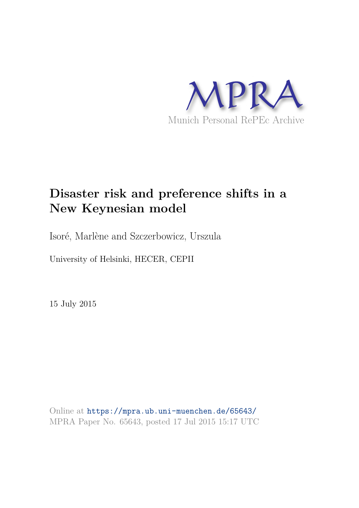

# **Disaster risk and preference shifts in a New Keynesian model**

Isoré, Marlène and Szczerbowicz, Urszula

University of Helsinki, HECER, CEPII

15 July 2015

Online at https://mpra.ub.uni-muenchen.de/65643/ MPRA Paper No. 65643, posted 17 Jul 2015 15:17 UTC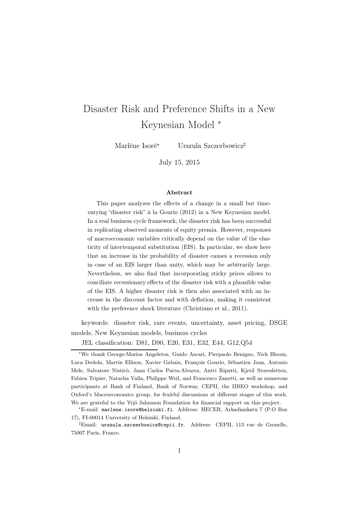# Disaster Risk and Preference Shifts in a New Keynesian Model <sup>∗</sup>

Marlène Isoré<sup>\*</sup> Urszula Szczerbowicz<sup>‡</sup>

July 15, 2015

#### Abstract

This paper analyzes the effects of a change in a small but timevarying "disaster risk" à la Gourio (2012) in a New Keynesian model. In a real business cycle framework, the disaster risk has been successful in replicating observed moments of equity premia. However, responses of macroeconomic variables critically depend on the value of the elasticity of intertemporal substitution (EIS). In particular, we show here that an increase in the probability of disaster causes a recession only in case of an EIS larger than unity, which may be arbitrarily large. Nevertheless, we also find that incorporating sticky prices allows to conciliate recessionary effects of the disaster risk with a plausible value of the EIS. A higher disaster risk is then also associated with an increase in the discount factor and with deflation, making it consistent with the preference shock literature (Christiano et al., 2011).

keywords: disaster risk, rare events, uncertainty, asset pricing, DSGE models, New Keynesian models, business cycles

JEL classification: D81, D90, E20, E31, E32, E44, G12,Q54

<sup>∗</sup>We thank George-Marios Angeletos, Guido Ascari, Pierpaolo Benigno, Nick Bloom, Luca Dedola, Martin Ellison, Xavier Gabaix, François Gourio, Sébastien Jean, Antonio Mele, Salvatore Nisticò, Juan Carlos Parra-Alvarez, Antti Ripatti, Kjetil Storesletten, Fabien Tripier, Natacha Valla, Philippe Weil, and Francesco Zanetti, as well as numerous participants at Bank of Finland, Bank of Norway, CEPII, the IIBEO workshop, and Oxford's Macroeconomics group, for fruitful discussions at different stages of this work. We are grateful to the Yrjö Jahnsson Foundation for financial support on this project.

<sup>⋆</sup>E-mail: marlene.isore@helsinki.fi. Address: HECER, Arkadiankatu 7 (P.O Box 17), FI-00014 University of Helsinki, Finland.

<sup>♯</sup>Email: urszula.szczerbowicz@cepii.fr. Address: CEPII, 113 rue de Grenelle, 75007 Paris, France.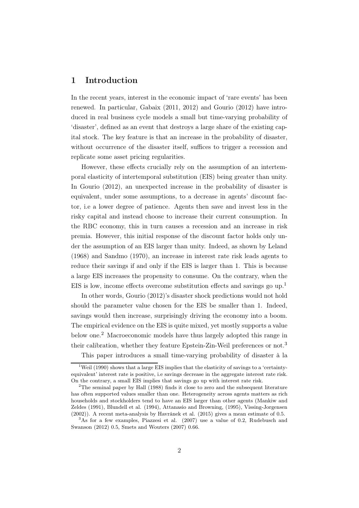# 1 Introduction

In the recent years, interest in the economic impact of 'rare events' has been renewed. In particular, Gabaix (2011, 2012) and Gourio (2012) have introduced in real business cycle models a small but time-varying probability of 'disaster', defined as an event that destroys a large share of the existing capital stock. The key feature is that an increase in the probability of disaster, without occurrence of the disaster itself, suffices to trigger a recession and replicate some asset pricing regularities.

However, these effects crucially rely on the assumption of an intertemporal elasticity of intertemporal substitution (EIS) being greater than unity. In Gourio (2012), an unexpected increase in the probability of disaster is equivalent, under some assumptions, to a decrease in agents' discount factor, i.e a lower degree of patience. Agents then save and invest less in the risky capital and instead choose to increase their current consumption. In the RBC economy, this in turn causes a recession and an increase in risk premia. However, this initial response of the discount factor holds only under the assumption of an EIS larger than unity. Indeed, as shown by Leland (1968) and Sandmo (1970), an increase in interest rate risk leads agents to reduce their savings if and only if the EIS is larger than 1. This is because a large EIS increases the propensity to consume. On the contrary, when the EIS is low, income effects overcome substitution effects and savings go  $up.1$ 

In other words, Gourio (2012)'s disaster shock predictions would not hold should the parameter value chosen for the EIS be smaller than 1. Indeed, savings would then increase, surprisingly driving the economy into a boom. The empirical evidence on the EIS is quite mixed, yet mostly supports a value below one.<sup>2</sup> Macroeconomic models have thus largely adopted this range in their calibration, whether they feature Epstein-Zin-Weil preferences or not.<sup>3</sup>

This paper introduces a small time-varying probability of disaster à la

<sup>&</sup>lt;sup>1</sup>Weil (1990) shows that a large EIS implies that the elasticity of savings to a 'certaintyequivalent' interest rate is positive, i.e savings decrease in the aggregate interest rate risk. On the contrary, a small EIS implies that savings go up with interest rate risk.

<sup>2</sup>The seminal paper by Hall (1988) finds it close to zero and the subsequent literature has often supported values smaller than one. Heterogeneity across agents matters as rich households and stockholders tend to have an EIS larger than other agents (Mankiw and Zeldes (1991), Blundell et al. (1994), Attanasio and Browning, (1995), Vissing-Jorgensen (2002)). A recent meta-analysis by Havránek et al. (2015) gives a mean estimate of 0.5.

 $3<sup>3</sup>$ As for a few examples, Piazzesi et al. (2007) use a value of 0.2, Rudebusch and Swanson (2012) 0.5, Smets and Wouters (2007) 0.66.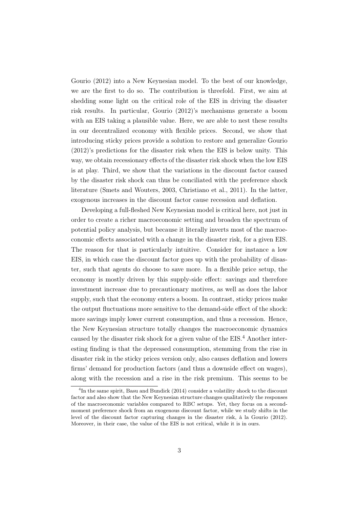Gourio (2012) into a New Keynesian model. To the best of our knowledge, we are the first to do so. The contribution is threefold. First, we aim at shedding some light on the critical role of the EIS in driving the disaster risk results. In particular, Gourio (2012)'s mechanisms generate a boom with an EIS taking a plausible value. Here, we are able to nest these results in our decentralized economy with flexible prices. Second, we show that introducing sticky prices provide a solution to restore and generalize Gourio (2012)'s predictions for the disaster risk when the EIS is below unity. This way, we obtain recessionary effects of the disaster risk shock when the low EIS is at play. Third, we show that the variations in the discount factor caused by the disaster risk shock can thus be conciliated with the preference shock literature (Smets and Wouters, 2003, Christiano et al., 2011). In the latter, exogenous increases in the discount factor cause recession and deflation.

Developing a full-fleshed New Keynesian model is critical here, not just in order to create a richer macroeconomic setting and broaden the spectrum of potential policy analysis, but because it literally inverts most of the macroeconomic effects associated with a change in the disaster risk, for a given EIS. The reason for that is particularly intuitive. Consider for instance a low EIS, in which case the discount factor goes up with the probability of disaster, such that agents do choose to save more. In a flexible price setup, the economy is mostly driven by this supply-side effect: savings and therefore investment increase due to precautionary motives, as well as does the labor supply, such that the economy enters a boom. In contrast, sticky prices make the output fluctuations more sensitive to the demand-side effect of the shock: more savings imply lower current consumption, and thus a recession. Hence, the New Keynesian structure totally changes the macroeconomic dynamics caused by the disaster risk shock for a given value of the EIS.<sup>4</sup> Another interesting finding is that the depressed consumption, stemming from the rise in disaster risk in the sticky prices version only, also causes deflation and lowers firms' demand for production factors (and thus a downside effect on wages), along with the recession and a rise in the risk premium. This seems to be

<sup>&</sup>lt;sup>4</sup>In the same spirit, Basu and Bundick (2014) consider a volatility shock to the discount factor and also show that the New Keynesian structure changes qualitatively the responses of the macroeconomic variables compared to RBC setups. Yet, they focus on a secondmoment preference shock from an exogenous discount factor, while we study shifts in the level of the discount factor capturing changes in the disaster risk, à la Gourio (2012). Moreover, in their case, the value of the EIS is not critical, while it is in ours.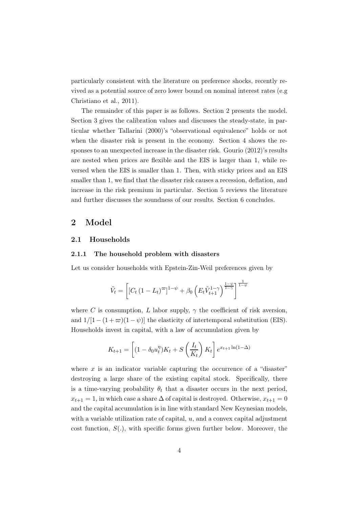particularly consistent with the literature on preference shocks, recently revived as a potential source of zero lower bound on nominal interest rates (e.g Christiano et al., 2011).

The remainder of this paper is as follows. Section 2 presents the model. Section 3 gives the calibration values and discusses the steady-state, in particular whether Tallarini (2000)'s "observational equivalence" holds or not when the disaster risk is present in the economy. Section 4 shows the responses to an unexpected increase in the disaster risk. Gourio (2012)'s results are nested when prices are flexible and the EIS is larger than 1, while reversed when the EIS is smaller than 1. Then, with sticky prices and an EIS smaller than 1, we find that the disaster risk causes a recession, deflation, and increase in the risk premium in particular. Section 5 reviews the literature and further discusses the soundness of our results. Section 6 concludes.

# 2 Model

### 2.1 Households

### 2.1.1 The household problem with disasters

Let us consider households with Epstein-Zin-Weil preferences given by

$$
\tilde{V}_t = \left[ \left[ C_t \left( 1 - L_t \right)^{\varpi} \right]^{1-\psi} + \beta_0 \left( E_t \tilde{V}_{t+1}^{1-\gamma} \right)^{\frac{1-\psi}{1-\gamma}} \right]^{\frac{1}{1-\psi}}
$$

where C is consumption, L labor supply,  $\gamma$  the coefficient of risk aversion, and  $1/[1-(1+\varpi)(1-\psi)]$  the elasticity of intertemporal substitution (EIS). Households invest in capital, with a law of accumulation given by

$$
K_{t+1} = \left[ (1 - \delta_0 u_t^{\eta}) K_t + S\left(\frac{I_t}{K_t}\right) K_t \right] e^{x_{t+1} \ln(1 - \Delta)}
$$

where  $x$  is an indicator variable capturing the occurrence of a "disaster" destroying a large share of the existing capital stock. Specifically, there is a time-varying probability  $\theta_t$  that a disaster occurs in the next period,  $x_{t+1} = 1$ , in which case a share  $\Delta$  of capital is destroyed. Otherwise,  $x_{t+1} = 0$ and the capital accumulation is in line with standard New Keynesian models, with a variable utilization rate of capital,  $u$ , and a convex capital adjustment cost function,  $S(.)$ , with specific forms given further below. Moreover, the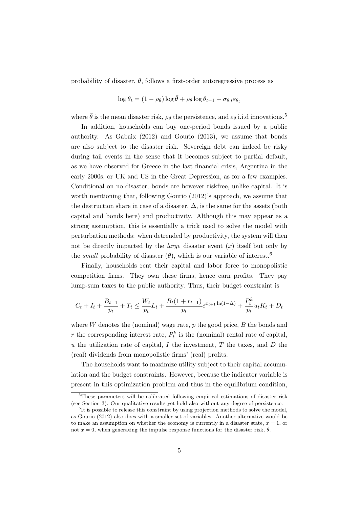probability of disaster,  $\theta$ , follows a first-order autoregressive process as

$$
\log \theta_t = (1 - \rho_\theta) \log \bar{\theta} + \rho_\theta \log \theta_{t-1} + \sigma_{\theta, t} \varepsilon_{\theta_t}
$$

where  $\bar{\theta}$  is the mean disaster risk,  $\rho_{\theta}$  the persistence, and  $\varepsilon_{\theta}$  i.i.d innovations.<sup>5</sup>

In addition, households can buy one-period bonds issued by a public authority. As Gabaix (2012) and Gourio (2013), we assume that bonds are also subject to the disaster risk. Sovereign debt can indeed be risky during tail events in the sense that it becomes subject to partial default, as we have observed for Greece in the last financial crisis, Argentina in the early 2000s, or UK and US in the Great Depression, as for a few examples. Conditional on no disaster, bonds are however riskfree, unlike capital. It is worth mentioning that, following Gourio (2012)'s approach, we assume that the destruction share in case of a disaster,  $\Delta$ , is the same for the assets (both capital and bonds here) and productivity. Although this may appear as a strong assumption, this is essentially a trick used to solve the model with perturbation methods: when detrended by productivity, the system will then not be directly impacted by the *large* disaster event  $(x)$  itself but only by the *small* probability of disaster  $(\theta)$ , which is our variable of interest.<sup>6</sup>

Finally, households rent their capital and labor force to monopolistic competition firms. They own these firms, hence earn profits. They pay lump-sum taxes to the public authority. Thus, their budget constraint is

$$
C_t + I_t + \frac{B_{t+1}}{p_t} + T_t \le \frac{W_t}{p_t}L_t + \frac{B_t(1 + r_{t-1})}{p_t}e^{x_{t+1}\ln(1 - \Delta)} + \frac{P_t^k}{p_t}u_tK_t + D_t
$$

where  $W$  denotes the (nominal) wage rate,  $p$  the good price,  $B$  the bonds and r the corresponding interest rate,  $P_t^k$  is the (nominal) rental rate of capital, u the utilization rate of capital,  $I$  the investment,  $T$  the taxes, and  $D$  the (real) dividends from monopolistic firms' (real) profits.

The households want to maximize utility subject to their capital accumulation and the budget constraints. However, because the indicator variable is present in this optimization problem and thus in the equilibrium condition,

<sup>&</sup>lt;sup>5</sup>These parameters will be calibrated following empirical estimations of disaster risk (see Section 3). Our qualitative results yet hold also without any degree of persistence.

<sup>&</sup>lt;sup>6</sup>It is possible to release this constraint by using projection methods to solve the model, as Gourio (2012) also does with a smaller set of variables. Another alternative would be to make an assumption on whether the economy is currently in a disaster state,  $x = 1$ , or not  $x = 0$ , when generating the impulse response functions for the disaster risk,  $\theta$ .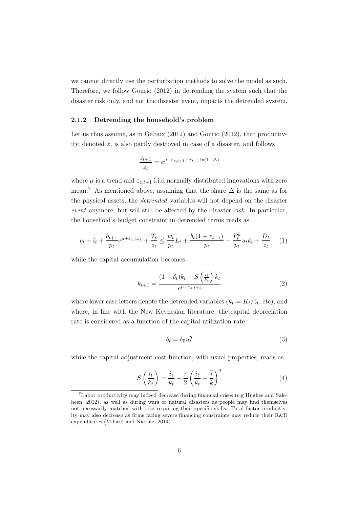we cannot directly use the perturbation methods to solve the model as such. Therefore, we follow Gourio (2012) in detrending the system such that the disaster risk only, and not the disaster event, impacts the detrended system.

### 2.1.2 Detrending the household's problem

Let us thus assume, as in Gabaix (2012) and Gourio (2012), that productivity, denoted z, is also partly destroyed in case of a disaster, and follows

$$
\frac{z_{t+1}}{z_t} = e^{\mu + \varepsilon_{z,t+1} + x_{t+1} \ln(1 - \Delta)}
$$

where  $\mu$  is a trend and  $\varepsilon_{z,t+1}$  i.i.d normally distributed innovations with zero mean.<sup>7</sup> As mentioned above, assuming that the share  $\Delta$  is the same as for the physical assets, the *detrended* variables will not depend on the disaster *event* anymore, but will still be affected by the disaster *risk*. In particular, the household's budget constraint in detrended terms reads as

$$
c_t + i_t + \frac{b_{t+1}}{p_t} e^{\mu + \varepsilon_{z,t+1}} + \frac{T_t}{z_t} \le \frac{w_t}{p_t} L_t + \frac{b_t(1 + r_{t-1})}{p_t} + \frac{P_t^k}{p_t} u_t k_t + \frac{D_t}{z_t} \tag{1}
$$

while the capital accumulation becomes

$$
k_{t+1} = \frac{(1 - \delta_t)k_t + S\left(\frac{i_t}{k_t}\right)k_t}{e^{\mu + \varepsilon_{z,t+1}}}
$$
(2)

where lower case letters denote the detrended variables  $(k_t = K_t/z_t, \text{etc}),$  and where, in line with the New Keynesian literature, the capital depreciation rate is considered as a function of the capital utilization rate

$$
\delta_t = \delta_0 u_t^{\eta} \tag{3}
$$

while the capital adjustment cost function, with usual properties, reads as

$$
S\left(\frac{i_t}{k_t}\right) = \frac{i_t}{k_t} - \frac{\tau}{2} \left(\frac{i_t}{k_t} - \frac{\bar{i}}{\bar{k}}\right)^2 \tag{4}
$$

<sup>&</sup>lt;sup>7</sup>Labor productivity may indeed decrease during financial crises (e.g Hughes and Saleheen, 2012), as well as during wars or natural disasters as people may find themselves not necessarily matched with jobs requiring their specific skills. Total factor productivity may also decrease as firms facing severe financing constraints may reduce their R&D expenditures (Millard and Nicolae, 2014).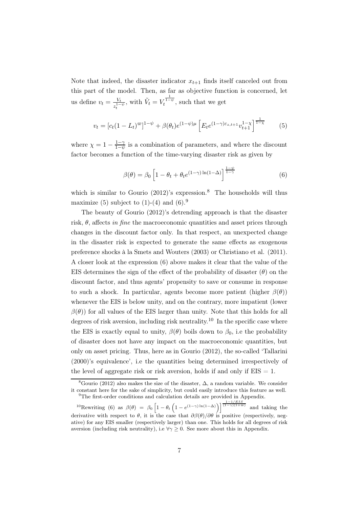Note that indeed, the disaster indicator  $x_{t+1}$  finds itself canceled out from this part of the model. Then, as far as objective function is concerned, let us define  $v_t = \frac{V_t}{r^{1-t}}$  $\frac{V_t}{z_t^{1-\psi}}$ , with  $\tilde{V}_t = V_t^{\frac{1}{1-\psi}}$ , such that we get

$$
v_t = [c_t(1 - L_t)^{\varpi}]^{1 - \psi} + \beta(\theta_t)e^{(1 - \psi)\mu} \left[E_t e^{(1 - \gamma)\varepsilon_{z,t+1}} v_{t+1}^{1 - \chi}\right]^{\frac{1}{1 - \chi}} \tag{5}
$$

where  $\chi = 1 - \frac{1-\gamma}{1-\gamma}$  $\frac{1-\gamma}{1-\psi}$  is a combination of parameters, and where the discount factor becomes a function of the time-varying disaster risk as given by

$$
\beta(\theta) = \beta_0 \left[ 1 - \theta_t + \theta_t e^{(1-\gamma)\ln(1-\Delta)} \right]^{\frac{1-\psi}{1-\gamma}}
$$
(6)

which is similar to Gourio  $(2012)$ 's expression.<sup>8</sup> The households will thus maximize (5) subject to  $(1)-(4)$  and  $(6).<sup>9</sup>$ 

The beauty of Gourio (2012)'s detrending approach is that the disaster risk, θ, affects *in fine* the macroeconomic quantities and asset prices through changes in the discount factor only. In that respect, an unexpected change in the disaster risk is expected to generate the same effects as exogenous preference shocks à la Smets and Wouters (2003) or Christiano et al. (2011). A closer look at the expression (6) above makes it clear that the value of the EIS determines the sign of the effect of the probability of disaster  $(\theta)$  on the discount factor, and thus agents' propensity to save or consume in response to such a shock. In particular, agents become more patient (higher  $\beta(\theta)$ ) whenever the EIS is below unity, and on the contrary, more impatient (lower  $\beta(\theta)$ ) for all values of the EIS larger than unity. Note that this holds for all degrees of risk aversion, including risk neutrality.<sup>10</sup> In the specific case where the EIS is exactly equal to unity,  $\beta(\theta)$  boils down to  $\beta_0$ , i.e the probability of disaster does not have any impact on the macroeconomic quantities, but only on asset pricing. Thus, here as in Gourio (2012), the so-called 'Tallarini (2000)'s equivalence', i.e the quantities being determined irrespectively of the level of aggregate risk or risk aversion, holds if and only if  $EIS = 1$ .

<sup>&</sup>lt;sup>8</sup>Gourio (2012) also makes the size of the disaster,  $\Delta$ , a random variable. We consider it constant here for the sake of simplicity, but could easily introduce this feature as well.  $9$ The first-order conditions and calculation details are provided in Appendix.

<sup>&</sup>lt;sup>10</sup>Rewriting (6) as  $\beta(\theta) = \beta_0 \left[1 - \theta_t \left(1 - e^{(1-\gamma)\ln(1-\Delta)}\right)\right]^{1-1/EIS \over (1-\gamma)(1+\varpi)}$  and taking the derivative with respect to  $\theta$ , it is the case that  $\partial \beta(\theta)/\partial \theta$  is positive (respectively, negative) for any EIS smaller (respectively larger) than one. This holds for all degrees of risk aversion (including risk neutrality), i.e  $\forall \gamma \geq 0$ . See more about this in Appendix.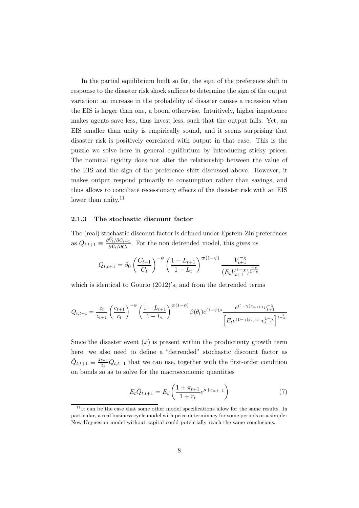In the partial equilibrium built so far, the sign of the preference shift in response to the disaster risk shock suffices to determine the sign of the output variation: an increase in the probability of disaster causes a recession when the EIS is larger than one, a boom otherwise. Intuitively, higher impatience makes agents save less, thus invest less, such that the output falls. Yet, an EIS smaller than unity is empirically sound, and it seems surprising that disaster risk is positively correlated with output in that case. This is the puzzle we solve here in general equilibrium by introducing sticky prices. The nominal rigidity does not alter the relationship between the value of the EIS and the sign of the preference shift discussed above. However, it makes output respond primarily to consumption rather than savings, and thus allows to conciliate recessionary effects of the disaster risk with an EIS lower than unity.<sup>11</sup>

### 2.1.3 The stochastic discount factor

The (real) stochastic discount factor is defined under Epstein-Zin preferences as  $Q_{t,t+1} \equiv \frac{\partial \tilde{V}_t / \partial C_{t+1}}{\partial \tilde{V}_t / \partial C_t}$  $\frac{\partial V_t}{\partial \hat{V}_t/\partial C_t}$ . For the non detrended model, this gives us

$$
Q_{t,t+1} = \beta_0 \left(\frac{C_{t+1}}{C_t}\right)^{-\psi} \left(\frac{1 - L_{t+1}}{1 - L_t}\right)^{\varpi(1 - \psi)} \frac{V_{t+1}^{-\chi}}{(E_t V_{t+1}^{1 - \chi})^{\frac{-\chi}{1 - \chi}}}
$$

which is identical to Gourio (2012)'s, and from the detrended terms

$$
Q_{t,t+1}=\frac{z_t}{z_{t+1}}\left(\frac{c_{t+1}}{c_t}\right)^{-\psi}\left(\frac{1-L_{t+1}}{1-L_t}\right)^{\varpi(1-\psi)}\beta(\theta_t)e^{(1-\psi)\mu}\frac{e^{(1-\gamma)\varepsilon_{z,t+1}}v_{t+1}^{-\chi}}{\left[E_te^{(1-\gamma)\varepsilon_{z,t+1}}v_{t+1}^{1-\chi}\right]^{\frac{-\chi}{1-\chi}}}
$$

Since the disaster event  $(x)$  is present within the productivity growth term here, we also need to define a "detrended" stochastic discount factor as  $\tilde{Q}_{t,t+1}\equiv \frac{z_{t+1}}{z_t}$  $\frac{t+1}{z_t}Q_{t,t+1}$  that we can use, together with the first-order condition on bonds so as to solve for the macroeconomic quantities

$$
E_t \tilde{Q}_{t,t+1} = E_t \left( \frac{1 + \pi_{t+1}}{1 + r_t} e^{\mu + \varepsilon_{z,t+1}} \right)
$$
 (7)

 $11$ It can be the case that some other model specifications allow for the same results. In particular, a real business cycle model with price determinacy for some periods or a simpler New Keynesian model without capital could potentially reach the same conclusions.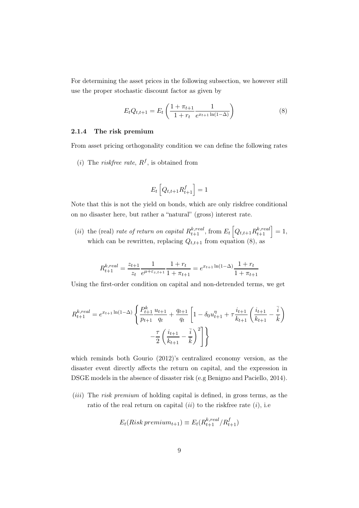For determining the asset prices in the following subsection, we however still use the proper stochastic discount factor as given by

$$
E_t Q_{t,t+1} = E_t \left( \frac{1 + \pi_{t+1}}{1 + r_t} \frac{1}{e^{x_{t+1} \ln(1 - \Delta)}} \right)
$$
 (8)

### 2.1.4 The risk premium

From asset pricing orthogonality condition we can define the following rates

 $(i)$  The *riskfree rate*,  $R^f$ , is obtained from

$$
E_t\left[Q_{t,t+1}R_{t+1}^f\right] = 1
$$

Note that this is not the yield on bonds, which are only riskfree conditional on no disaster here, but rather a "natural" (gross) interest rate.

(*ii*) the (real) *rate of return on capital*  $R_{t+1}^{k,real}$ , from  $E_t\left[Q_{t,t+1}R_{t+1}^{k,real}\right] = 1$ , which can be rewritten, replacing  $Q_{t,t+1}$  from equation (8), as

$$
R_{t+1}^{k,real} = \frac{z_{t+1}}{z_t} \frac{1}{e^{\mu + \varepsilon_{z,t+1}}} \frac{1 + r_t}{1 + \pi_{t+1}} = e^{x_{t+1} \ln(1 - \Delta)} \frac{1 + r_t}{1 + \pi_{t+1}}
$$

Using the first-order condition on capital and non-detrended terms, we get

$$
R_{t+1}^{k,real} = e^{x_{t+1}\ln(1-\Delta)} \left\{ \frac{P_{t+1}^k}{p_{t+1}} \frac{u_{t+1}}{q_t} + \frac{q_{t+1}}{q_t} \left[ 1 - \delta_0 u_{t+1}^{\eta} + \tau \frac{i_{t+1}}{k_{t+1}} \left( \frac{i_{t+1}}{k_{t+1}} - \frac{\overline{i}}{k} \right) \right] - \frac{\tau}{2} \left( \frac{i_{t+1}}{k_{t+1}} - \frac{\overline{i}}{k} \right)^2 \right\}
$$

which reminds both Gourio (2012)'s centralized economy version, as the disaster event directly affects the return on capital, and the expression in DSGE models in the absence of disaster risk (e.g Benigno and Paciello, 2014).

(iii) The *risk premium* of holding capital is defined, in gross terms, as the ratio of the real return on capital  $(ii)$  to the riskfree rate  $(i)$ , i.e

$$
E_t(Risk\,premium_{t+1}) \equiv E_t(R_{t+1}^{k,real}/R_{t+1}^f)
$$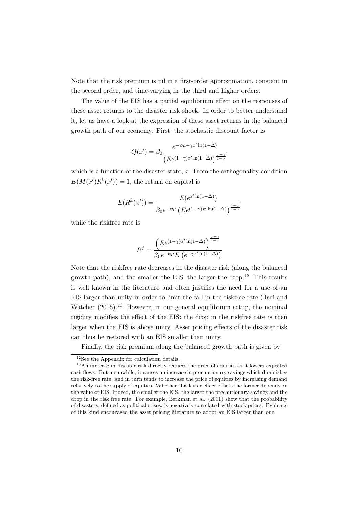Note that the risk premium is nil in a first-order approximation, constant in the second order, and time-varying in the third and higher orders.

The value of the EIS has a partial equilibrium effect on the responses of these asset returns to the disaster risk shock. In order to better understand it, let us have a look at the expression of these asset returns in the balanced growth path of our economy. First, the stochastic discount factor is

$$
Q(x') = \beta_0 \frac{e^{-\psi\mu - \gamma x' \ln(1-\Delta)}}{\left( E e^{(1-\gamma)x' \ln(1-\Delta)} \right)^{\frac{\psi-\gamma}{1-\gamma}}}
$$

which is a function of the disaster state,  $x$ . From the orthogonality condition  $E(M(x')R^k(x'))=1$ , the return on capital is

$$
E(R^{k}(x')) = \frac{E(e^{x' \ln(1-\Delta)})}{\beta_0 e^{-\psi \mu} \left( E e^{(1-\gamma)x' \ln(1-\Delta)} \right)^{\frac{1-\psi}{1-\gamma}}}
$$

while the riskfree rate is

$$
R^{f} = \frac{\left( E e^{(1-\gamma)x' \ln(1-\Delta)} \right)^{\frac{\psi-\gamma}{1-\gamma}}}{\beta_0 e^{-\psi \mu} E \left( e^{-\gamma x' \ln(1-\Delta)} \right)}
$$

Note that the riskfree rate decreases in the disaster risk (along the balanced growth path), and the smaller the EIS, the larger the drop.<sup>12</sup> This results is well known in the literature and often justifies the need for a use of an EIS larger than unity in order to limit the fall in the riskfree rate (Tsai and Watcher  $(2015)^{13}$  However, in our general equilibrium setup, the nominal rigidity modifies the effect of the EIS: the drop in the riskfree rate is then larger when the EIS is above unity. Asset pricing effects of the disaster risk can thus be restored with an EIS smaller than unity.

Finally, the risk premium along the balanced growth path is given by

<sup>&</sup>lt;sup>12</sup>See the Appendix for calculation details.

<sup>&</sup>lt;sup>13</sup>An increase in disaster risk directly reduces the price of equities as it lowers expected cash flows. But meanwhile, it causes an increase in precautionary savings which diminishes the risk-free rate, and in turn tends to increase the price of equities by increasing demand relatively to the supply of equities. Whether this latter effect offsets the former depends on the value of EIS. Indeed, the smaller the EIS, the larger the precautionary savings and the drop in the risk free rate. For example, Berkman et al. (2011) show that the probability of disasters, defined as political crises, is negatively correlated with stock prices. Evidence of this kind encouraged the asset pricing literature to adopt an EIS larger than one.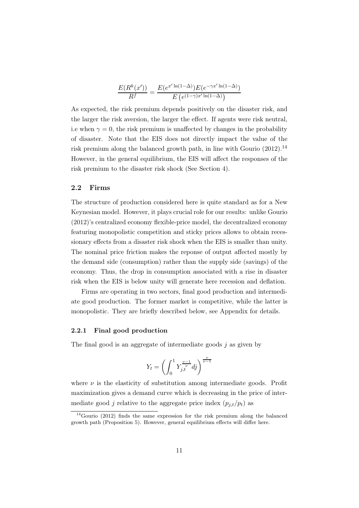$$
\frac{E(R^k(x'))}{R^f} = \frac{E(e^{x'\ln(1-\Delta)})E(e^{-\gamma x'\ln(1-\Delta)})}{E(e^{(1-\gamma)x'\ln(1-\Delta)})}
$$

As expected, the risk premium depends positively on the disaster risk, and the larger the risk aversion, the larger the effect. If agents were risk neutral, i.e when  $\gamma = 0$ , the risk premium is unaffected by changes in the probability of disaster. Note that the EIS does not directly impact the value of the risk premium along the balanced growth path, in line with Gourio  $(2012)$ .<sup>14</sup> However, in the general equilibrium, the EIS will affect the responses of the risk premium to the disaster risk shock (See Section 4).

### 2.2 Firms

The structure of production considered here is quite standard as for a New Keynesian model. However, it plays crucial role for our results: unlike Gourio (2012)'s centralized economy flexible-price model, the decentralized economy featuring monopolistic competition and sticky prices allows to obtain recessionary effects from a disaster risk shock when the EIS is smaller than unity. The nominal price friction makes the reponse of output affected mostly by the demand side (consumption) rather than the supply side (savings) of the economy. Thus, the drop in consumption associated with a rise in disaster risk when the EIS is below unity will generate here recession and deflation.

Firms are operating in two sectors, final good production and intermediate good production. The former market is competitive, while the latter is monopolistic. They are briefly described below, see Appendix for details.

### 2.2.1 Final good production

The final good is an aggregate of intermediate goods  $j$  as given by

$$
Y_t = \left(\int_0^1 Y_{j,t}^{\frac{\nu-1}{\nu}} d j\right)^{\frac{\nu}{\nu-1}}
$$

where  $\nu$  is the elasticity of substitution among intermediate goods. Profit maximization gives a demand curve which is decreasing in the price of intermediate good j relative to the aggregate price index  $(p_{j,t}/p_t)$  as

 $14$ Gourio (2012) finds the same expression for the risk premium along the balanced growth path (Proposition 5). However, general equilibrium effects will differ here.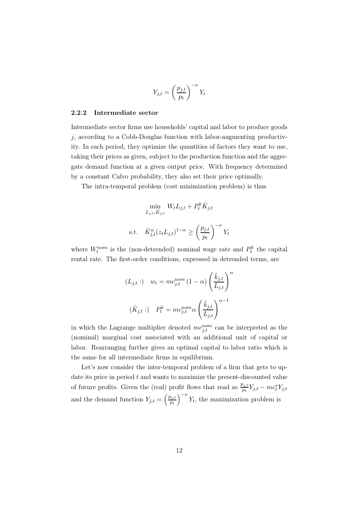$$
Y_{j,t} = \left(\frac{p_{j,t}}{p_t}\right)^{-\nu} Y_t
$$

### 2.2.2 Intermediate sector

Intermediate sector firms use households' capital and labor to produce goods  $j$ , according to a Cobb-Douglas function with labor-augmenting productivity. In each period, they optimize the quantities of factors they want to use, taking their prices as given, subject to the production function and the aggregate demand function at a given output price. With frequency determined by a constant Calvo probability, they also set their price optimally.

The intra-temporal problem (cost minimization problem) is thus

$$
\min_{L_{j,t}, \tilde{K}_{j,t}} W_t L_{j,t} + P_t^k \tilde{K}_{j,t}
$$
\ns.t. 
$$
\tilde{K}_{j,t}^{\alpha}(z_t L_{j,t})^{1-\alpha} \ge \left(\frac{p_{j,t}}{p_t}\right)^{-\nu} Y_t
$$

where  $W_t^{nom}$  is the (non-detrended) nominal wage rate and  $P_t^k$  the capital rental rate. The first-order conditions, expressed in detrended terms, are

$$
(L_{j,t}:) \t w_t = mc_{j,t}^{nom} (1 - \alpha) \left(\frac{\tilde{k}_{j,t}}{L_{j,t}}\right)^{\alpha}
$$

$$
(\tilde{K}_{j,t}:) \t P_t^k = mc_{j,t}^{nom} \alpha \left(\frac{\tilde{k}_{j,t}}{L_{j,t}}\right)^{\alpha - 1}
$$

in which the Lagrange multiplier denoted  $mc_{j,t}^{nom}$  can be interpreted as the (nominal) marginal cost associated with an additional unit of capital or labor. Rearranging further gives an optimal capital to labor ratio which is the same for all intermediate firms in equilibrium.

Let's now consider the inter-temporal problem of a firm that gets to update its price in period  $t$  and wants to maximize the present-discounted value of future profits. Given the (real) profit flows that read as  $\frac{p_{j,t}}{p_t} Y_{j,t} - mc_t^* Y_{j,t}$ and the demand function  $Y_{j,t} = \left(\frac{p_{j,t}}{p_t}\right)$  $p_t$  $\int_{0}^{-\nu} Y_t$ , the maximization problem is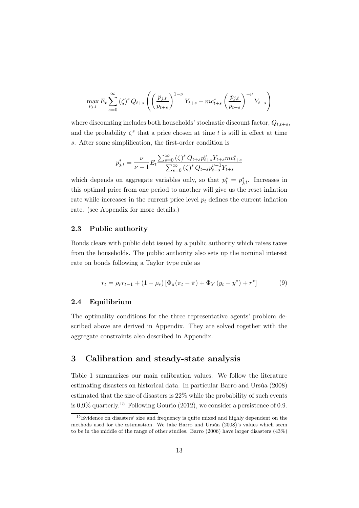$$
\max_{p_{j,t}} E_t \sum_{s=0}^{\infty} (\zeta)^s Q_{t+s} \left( \left( \frac{p_{j,t}}{p_{t+s}} \right)^{1-\nu} Y_{t+s} - mc_{t+s}^* \left( \frac{p_{j,t}}{p_{t+s}} \right)^{-\nu} Y_{t+s} \right)
$$

where discounting includes both households' stochastic discount factor,  $Q_{t,t+s}$ , and the probability  $\zeta^s$  that a price chosen at time t is still in effect at time s. After some simplification, the first-order condition is

$$
p_{j,t}^{*} = \frac{\nu}{\nu - 1} E_t \frac{\sum_{s=0}^{\infty} (\zeta)^s Q_{t+s} p_{t+s}^{\nu} Y_{t+s} m c_{t+s}^{*}}{\sum_{s=0}^{\infty} (\zeta)^s Q_{t+s} p_{t+s}^{\nu-1} Y_{t+s}}
$$

which depends on aggregate variables only, so that  $p_t^* = p_{j,t}^*$ . Increases in this optimal price from one period to another will give us the reset inflation rate while increases in the current price level  $p_t$  defines the current inflation rate. (see Appendix for more details.)

### 2.3 Public authority

Bonds clears with public debt issued by a public authority which raises taxes from the households. The public authority also sets up the nominal interest rate on bonds following a Taylor type rule as

$$
r_{t} = \rho_{r} r_{t-1} + (1 - \rho_{r}) \left[ \Phi_{\pi} (\pi_{t} - \bar{\pi}) + \Phi_{Y} (y_{t} - y^{*}) + r^{*} \right]
$$
(9)

### 2.4 Equilibrium

The optimality conditions for the three representative agents' problem described above are derived in Appendix. They are solved together with the aggregate constraints also described in Appendix.

# 3 Calibration and steady-state analysis

Table 1 summarizes our main calibration values. We follow the literature estimating disasters on historical data. In particular Barro and Ursúa (2008) estimated that the size of disasters is 22% while the probability of such events is  $0.9\%$  quarterly.<sup>15</sup> Following Gourio (2012), we consider a persistence of 0.9.

<sup>&</sup>lt;sup>15</sup>Evidence on disasters' size and frequency is quite mixed and highly dependent on the methods used for the estimastion. We take Barro and Ursúa (2008)'s values which seem to be in the middle of the range of other studies. Barro (2006) have larger disasters (43%)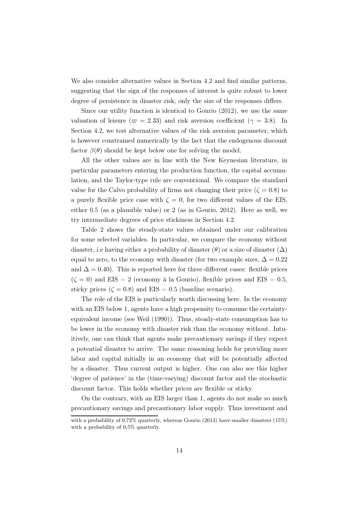We also consider alternative values in Section 4.2 and find similar patterns, suggesting that the sign of the responses of interest is quite robust to lower degree of persistence in disaster risk, only the size of the responses differs.

Since our utility function is identical to Gourio (2012), we use the same valuation of leisure ( $\varpi = 2.33$ ) and risk aversion coefficient ( $\gamma = 3.8$ ). In Section 4.2, we test alternative values of the risk aversion parameter, which is however constrained numerically by the fact that the endogenous discount factor  $\beta(\theta)$  should be kept below one for solving the model.

All the other values are in line with the New Keynesian literature, in particular parameters entering the production function, the capital accumulation, and the Taylor-type rule are conventional. We compare the standard value for the Calvo probability of firms not changing their price ( $\zeta = 0.8$ ) to a purely flexible price case with  $\zeta = 0$ , for two different values of the EIS, either 0.5 (as a plausible value) or 2 (as in Gourio, 2012). Here as well, we try intermediate degrees of price stickiness in Section 4.2.

Table 2 shows the steady-state values obtained under our calibration for some selected variables. In particular, we compare the economy without disaster, i.e having either a probability of disaster  $(\theta)$  or a size of disaster  $(\Delta)$ equal to zero, to the economy with disaster (for two example sizes,  $\Delta = 0.22$ ) and  $\Delta = 0.40$ ). This is reported here for three different cases: flexible prices  $(\zeta = 0)$  and EIS = 2 (economy à la Gourio), flexible prices and EIS = 0.5, sticky prices ( $\zeta = 0.8$ ) and EIS = 0.5 (baseline scenario).

The role of the EIS is particularly worth discussing here. In the economy with an EIS below 1, agents have a high propensity to consume the certaintyequivalent income (see Weil (1990)). Thus, steady-state consumption has to be lower in the economy with disaster risk than the economy without. Intuitively, one can think that agents make precautionary savings if they expect a potential disaster to arrive. The same reasoning holds for providing more labor and capital initially in an economy that will be potentially affected by a disaster. Thus current output is higher. One can also see this higher 'degree of patience' in the (time-varying) discount factor and the stochastic discount factor. This holds whether prices are flexible or sticky.

On the contrary, with an EIS larger than 1, agents do not make so much precautionary savings and precautionary labor supply. Thus investment and

with a probability of 0,72% quarterly, whereas Gourio (2013) have smaller disasters (15%) with a probability of 0.5% quarterly.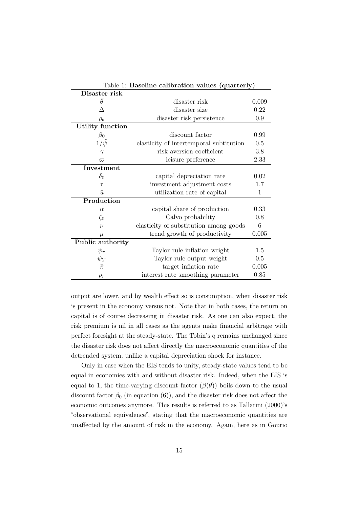| Table 1: Baseline calibration values (quarterly) |                                         |      |  |  |
|--------------------------------------------------|-----------------------------------------|------|--|--|
| Disaster risk                                    |                                         |      |  |  |
| $\theta$                                         | disaster risk                           |      |  |  |
| Л                                                | disaster size                           | 0.22 |  |  |
| $\rho_{\theta}$                                  | disaster risk persistence               | 0.9  |  |  |
| Utility function                                 |                                         |      |  |  |
| $\beta_0$                                        | discount factor                         | 0.99 |  |  |
| $1/\psi$                                         | elasticity of intertemporal subtitution | 0.5  |  |  |
| $\gamma$                                         | risk aversion coefficient               | 3.8  |  |  |
| $\varpi$                                         | leisure preference                      |      |  |  |
| <b>Investment</b>                                |                                         |      |  |  |
| $\delta_0$                                       | capital depreciation rate               | 0.02 |  |  |
| $\tau$                                           | investment adjustment costs             |      |  |  |
| $\bar{u}$                                        | utilization rate of capital<br>1        |      |  |  |
| Production                                       |                                         |      |  |  |
| $\alpha$                                         | capital share of production             |      |  |  |
| $\zeta_0$                                        | Calvo probability                       |      |  |  |
| $\overline{\nu}$                                 | elasticity of substitution among goods  |      |  |  |
| $\mu$                                            | 0.005<br>trend growth of productivity   |      |  |  |
| Public authority                                 |                                         |      |  |  |
| $\psi_\pi$                                       | Taylor rule inflation weight            | 1.5  |  |  |
| $\psi_Y$                                         | Taylor rule output weight               |      |  |  |
| $\bar{\pi}$                                      | target inflation rate                   |      |  |  |
| $\rho_r$                                         | interest rate smoothing parameter       | 0.85 |  |  |

output are lower, and by wealth effect so is consumption, when disaster risk is present in the economy versus not. Note that in both cases, the return on capital is of course decreasing in disaster risk. As one can also expect, the risk premium is nil in all cases as the agents make financial arbitrage with perfect foresight at the steady-state. The Tobin's q remains unchanged since the disaster risk does not affect directly the macroeconomic quantities of the detrended system, unlike a capital depreciation shock for instance.

Only in case when the EIS tends to unity, steady-state values tend to be equal in economies with and without disaster risk. Indeed, when the EIS is equal to 1, the time-varying discount factor  $(\beta(\theta))$  boils down to the usual discount factor  $\beta_0$  (in equation (6)), and the disaster risk does not affect the economic outcomes anymore. This results is referred to as Tallarini (2000)'s "observational equivalence", stating that the macroeconomic quantities are unaffected by the amount of risk in the economy. Again, here as in Gourio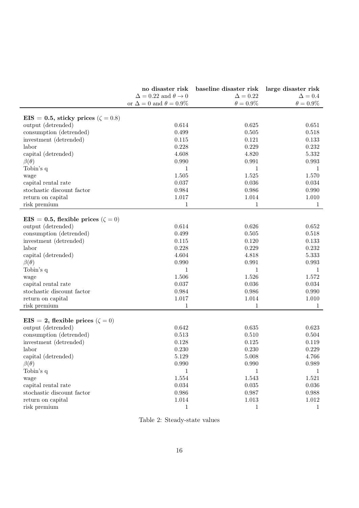|                                            | no disaster risk                           | baseline disaster risk large disaster risk |                  |
|--------------------------------------------|--------------------------------------------|--------------------------------------------|------------------|
|                                            | $\Delta = 0.22$ and $\theta \rightarrow 0$ | $\Delta = 0.22$                            | $\Delta = 0.4$   |
|                                            | or $\Delta = 0$ and $\theta = 0.9\%$       | $\theta = 0.9\%$                           | $\theta = 0.9\%$ |
| EIS = 0.5, sticky prices ( $\zeta = 0.8$ ) |                                            |                                            |                  |
| output (detrended)                         | 0.614                                      | 0.625                                      | 0.651            |
| consumption (detrended)                    | 0.499                                      | 0.505                                      | 0.518            |
| investment (detrended)                     | 0.115                                      | 0.121                                      | 0.133            |
| labor                                      | 0.228                                      | 0.229                                      | 0.232            |
| capital (detrended)                        | 4.608                                      | 4.820                                      | 5.332            |
| $\beta(\theta)$                            | 0.990                                      | 0.991                                      | 0.993            |
| Tobin's q                                  | 1                                          | $\mathbf{1}$                               | 1                |
| wage                                       | 1.505                                      | 1.525                                      | 1.570            |
| capital rental rate                        | 0.037                                      | 0.036                                      | 0.034            |
| stochastic discount factor                 | 0.984                                      | 0.986                                      | 0.990            |
| return on capital                          | $1.017\,$                                  | 1.014                                      | 1.010            |
| risk premium                               | 1                                          | 1                                          | 1                |
|                                            |                                            |                                            |                  |
| EIS = 0.5, flexible prices ( $\zeta = 0$ ) |                                            |                                            |                  |
| output (detrended)                         | 0.614                                      | 0.626                                      | 0.652            |
| consumption (detrended)                    | 0.499                                      | $0.505\,$                                  | 0.518            |
| investment (detrended)                     | 0.115                                      | 0.120                                      | 0.133            |
| labor                                      | 0.228                                      | 0.229                                      | 0.232            |
| capital (detrended)                        | 4.604                                      | 4.818                                      | $5.333\,$        |
| $\beta(\theta)$                            | 0.990                                      | 0.991                                      | 0.993            |
| Tobin's q                                  | 1                                          | $\mathbf 1$                                | 1                |
| wage                                       | 1.506                                      | 1.526                                      | 1.572            |
| capital rental rate                        | 0.037                                      | 0.036                                      | 0.034            |
| stochastic discount factor                 | 0.984                                      | 0.986                                      | 0.990            |
| return on capital                          | 1.017                                      | 1.014                                      | 1.010            |
| risk premium                               | 1                                          | 1                                          | 1                |
|                                            |                                            |                                            |                  |
| EIS = 2, flexible prices ( $\zeta = 0$ )   |                                            |                                            |                  |
| output (detrended)                         | 0.642                                      | 0.635                                      | 0.623            |
| consumption (detrended)                    | 0.513                                      | 0.510                                      | 0.504            |
| investment (detrended)                     | 0.128                                      | 0.125                                      | 0.119            |
| labor                                      | 0.230                                      | 0.230                                      | 0.229            |
| capital (detrended)                        | $5.129\,$                                  | 5.008                                      | 4.766            |
| $\beta(\theta)$                            | 0.990                                      | 0.990                                      | 0.989            |
| Tobin's q                                  | $\mathbf 1$                                | $\mathbf{1}$                               | 1                |
| wage                                       | $1.554\,$                                  | 1.543                                      | 1.521            |
| capital rental rate                        | 0.034                                      | 0.035                                      | 0.036            |
| stochastic discount factor                 | $\,0.986\,$                                | 0.987                                      | 0.988            |
| return on capital                          | 1.014                                      | 1.013                                      | $1.012\,$        |
| risk premium                               | $\mathbf 1$                                | 1                                          | 1                |

Table 2: Steady-state values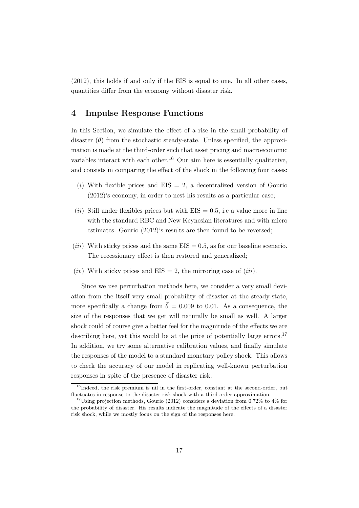(2012), this holds if and only if the EIS is equal to one. In all other cases, quantities differ from the economy without disaster risk.

# 4 Impulse Response Functions

In this Section, we simulate the effect of a rise in the small probability of disaster  $(\theta)$  from the stochastic steady-state. Unless specified, the approximation is made at the third-order such that asset pricing and macroeconomic variables interact with each other.<sup>16</sup> Our aim here is essentially qualitative, and consists in comparing the effect of the shock in the following four cases:

- (i) With flexible prices and  $EIS = 2$ , a decentralized version of Gourio (2012)'s economy, in order to nest his results as a particular case;
- (*ii*) Still under flexibles prices but with  $EIS = 0.5$ , i.e a value more in line with the standard RBC and New Keynesian literatures and with micro estimates. Gourio (2012)'s results are then found to be reversed;
- (*iii*) With sticky prices and the same  $EIS = 0.5$ , as for our baseline scenario. The recessionary effect is then restored and generalized;
- (*iv*) With sticky prices and  $EIS = 2$ , the mirroring case of (*iii*).

Since we use perturbation methods here, we consider a very small deviation from the itself very small probability of disaster at the steady-state, more specifically a change from  $\bar{\theta} = 0.009$  to 0.01. As a consequence, the size of the responses that we get will naturally be small as well. A larger shock could of course give a better feel for the magnitude of the effects we are describing here, yet this would be at the price of potentially large errors.<sup>17</sup> In addition, we try some alternative calibration values, and finally simulate the responses of the model to a standard monetary policy shock. This allows to check the accuracy of our model in replicating well-known perturbation responses in spite of the presence of disaster risk.

<sup>&</sup>lt;sup>16</sup>Indeed, the risk premium is nil in the first-order, constant at the second-order, but fluctuates in response to the disaster risk shock with a third-order approximation.

<sup>&</sup>lt;sup>17</sup>Using projection methods, Gourio (2012) considers a deviation from 0.72% to  $4\%$  for the probability of disaster. His results indicate the magnitude of the effects of a disaster risk shock, while we mostly focus on the sign of the responses here.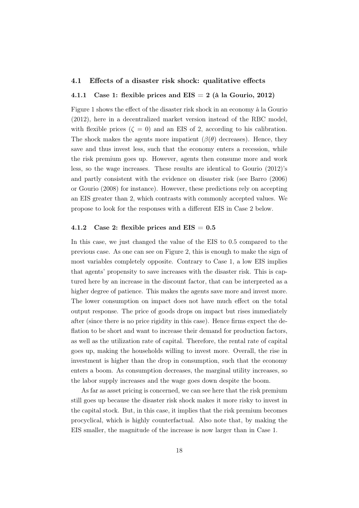### 4.1 Effects of a disaster risk shock: qualitative effects

### 4.1.1 Case 1: flexible prices and  $EIS = 2$  (à la Gourio, 2012)

Figure 1 shows the effect of the disaster risk shock in an economy à la Gourio (2012), here in a decentralized market version instead of the RBC model, with flexible prices  $(\zeta = 0)$  and an EIS of 2, according to his calibration. The shock makes the agents more impatient  $(\beta(\theta))$  decreases). Hence, they save and thus invest less, such that the economy enters a recession, while the risk premium goes up. However, agents then consume more and work less, so the wage increases. These results are identical to Gourio (2012)'s and partly consistent with the evidence on disaster risk (see Barro (2006) or Gourio (2008) for instance). However, these predictions rely on accepting an EIS greater than 2, which contrasts with commonly accepted values. We propose to look for the responses with a different EIS in Case 2 below.

### 4.1.2 Case 2: flexible prices and  $EIS = 0.5$

In this case, we just changed the value of the EIS to 0.5 compared to the previous case. As one can see on Figure 2, this is enough to make the sign of most variables completely opposite. Contrary to Case 1, a low EIS implies that agents' propensity to save increases with the disaster risk. This is captured here by an increase in the discount factor, that can be interpreted as a higher degree of patience. This makes the agents save more and invest more. The lower consumption on impact does not have much effect on the total output response. The price of goods drops on impact but rises immediately after (since there is no price rigidity in this case). Hence firms expect the deflation to be short and want to increase their demand for production factors, as well as the utilization rate of capital. Therefore, the rental rate of capital goes up, making the households willing to invest more. Overall, the rise in investment is higher than the drop in consumption, such that the economy enters a boom. As consumption decreases, the marginal utility increases, so the labor supply increases and the wage goes down despite the boom.

As far as asset pricing is concerned, we can see here that the risk premium still goes up because the disaster risk shock makes it more risky to invest in the capital stock. But, in this case, it implies that the risk premium becomes procyclical, which is highly counterfactual. Also note that, by making the EIS smaller, the magnitude of the increase is now larger than in Case 1.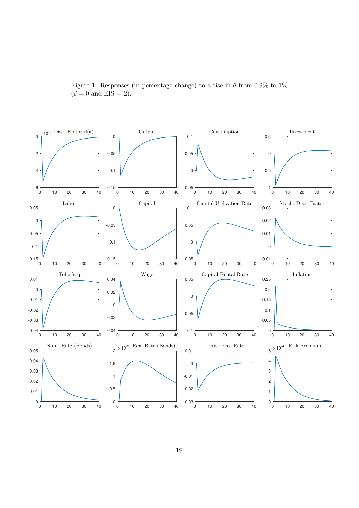

Figure 1: Responses (in percentage change) to a rise in  $\theta$  from 0.9% to 1%  $(\zeta = 0 \text{ and } EIS = 2).$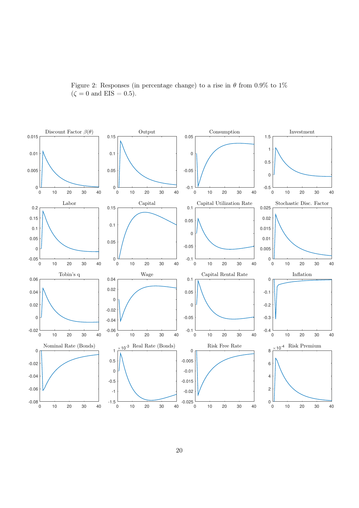

Figure 2: Responses (in percentage change) to a rise in  $\theta$  from 0.9% to 1%  $(\zeta = 0 \text{ and } EIS = 0.5).$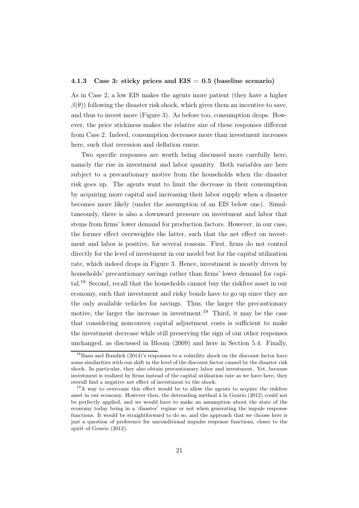### 4.1.3 Case 3: sticky prices and  $EIS = 0.5$  (baseline scenario)

As in Case 2, a low EIS makes the agents more patient (they have a higher  $\beta(\theta)$ ) following the disaster risk shock, which gives them an incentive to save, and thus to invest more (Figure 3). As before too, consumption drops. However, the price stickiness makes the relative size of these responses different from Case 2. Indeed, consumption decreases more than investment increases here, such that recession and deflation ensue.

Two specific responses are worth being discussed more carefully here, namely the rise in investment and labor quantity. Both variables are here subject to a precautionary motive from the households when the disaster risk goes up. The agents want to limit the decrease in their consumption by acquiring more capital and increasing their labor supply when a disaster becomes more likely (under the assumption of an EIS below one). Simultaneously, there is also a downward pressure on investment and labor that stems from firms' lower demand for production factors. However, in our case, the former effect overweights the latter, such that the net effect on investment and labor is positive, for several reasons. First, firms do not control directly for the level of investment in our model but for the capital utilization rate, which indeed drops in Figure 3. Hence, investment is mostly driven by households' precautionary savings rather than firms' lower demand for capital.<sup>18</sup> Second, recall that the households cannot buy the riskfree asset in our economy, such that investment and risky bonds have to go up since they are the only available vehicles for savings. Thus, the larger the precautionary motive, the larger the increase in investment.<sup>19</sup> Third, it may be the case that considering nonconvex capital adjustment costs is sufficient to make the investment decrease while still preserving the sign of our other responses unchanged, as discussed in Bloom (2009) and here in Section 5.4. Finally,

 $18$ Basu and Bundick (2014)'s responses to a volatility shock on the discount factor have some similarities with our shift in the level of the discount factor caused by the disaster risk shock. In particular, they also obtain precautionary labor and investment. Yet, because investment is realized by firms instead of the capital utilization rate as we have here, they overall find a negative net effect of investment to the shock.

<sup>&</sup>lt;sup>19</sup>A way to overcome this effect would be to allow the agents to acquire the riskfree asset in our economy. However then, the detrending method à la Gourio (2012) could not be perfectly applied, and we would have to make an assumption about the state of the economy today being in a 'disaster' regime or not when generating the impule response functions. It would be straightforward to do so, and the approach that we choose here is just a question of preference for unconditional impulse response functions, closer to the spirit of Gourio (2012).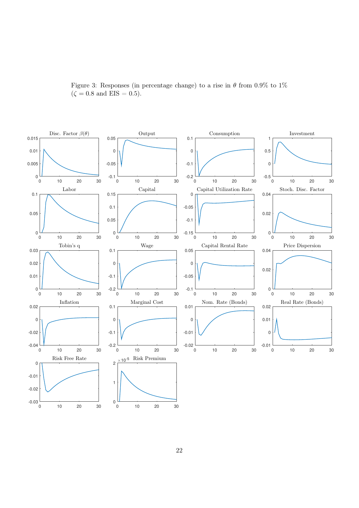

Figure 3: Responses (in percentage change) to a rise in  $\theta$  from 0.9% to 1%  $(\zeta = 0.8 \text{ and } EIS = 0.5).$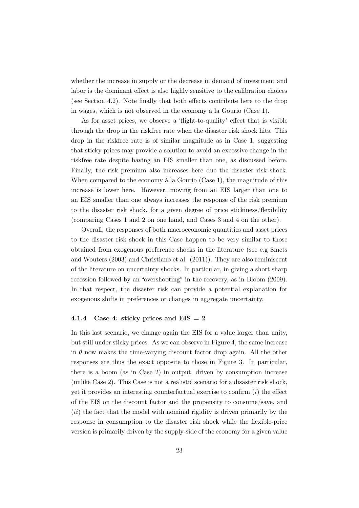whether the increase in supply or the decrease in demand of investment and labor is the dominant effect is also highly sensitive to the calibration choices (see Section 4.2). Note finally that both effects contribute here to the drop in wages, which is not observed in the economy à la Gourio (Case 1).

As for asset prices, we observe a 'flight-to-quality' effect that is visible through the drop in the riskfree rate when the disaster risk shock hits. This drop in the riskfree rate is of similar magnitude as in Case 1, suggesting that sticky prices may provide a solution to avoid an excessive change in the riskfree rate despite having an EIS smaller than one, as discussed before. Finally, the risk premium also increases here due the disaster risk shock. When compared to the economy à la Gourio (Case 1), the magnitude of this increase is lower here. However, moving from an EIS larger than one to an EIS smaller than one always increases the response of the risk premium to the disaster risk shock, for a given degree of price stickiness/flexibility (comparing Cases 1 and 2 on one hand, and Cases 3 and 4 on the other).

Overall, the responses of both macroeconomic quantities and asset prices to the disaster risk shock in this Case happen to be very similar to those obtained from exogenous preference shocks in the literature (see e.g Smets and Wouters (2003) and Christiano et al. (2011)). They are also reminiscent of the literature on uncertainty shocks. In particular, in giving a short sharp recession followed by an "overshooting" in the recovery, as in Bloom (2009). In that respect, the disaster risk can provide a potential explanation for exogenous shifts in preferences or changes in aggregate uncertainty.

### 4.1.4 Case 4: sticky prices and  $EIS = 2$

In this last scenario, we change again the EIS for a value larger than unity, but still under sticky prices. As we can observe in Figure 4, the same increase in  $\theta$  now makes the time-varying discount factor drop again. All the other responses are thus the exact opposite to those in Figure 3. In particular, there is a boom (as in Case 2) in output, driven by consumption increase (unlike Case 2). This Case is not a realistic scenario for a disaster risk shock, yet it provides an interesting counterfactual exercise to confirm  $(i)$  the effect of the EIS on the discount factor and the propensity to consume/save, and  $(ii)$  the fact that the model with nominal rigidity is driven primarily by the response in consumption to the disaster risk shock while the flexible-price version is primarily driven by the supply-side of the economy for a given value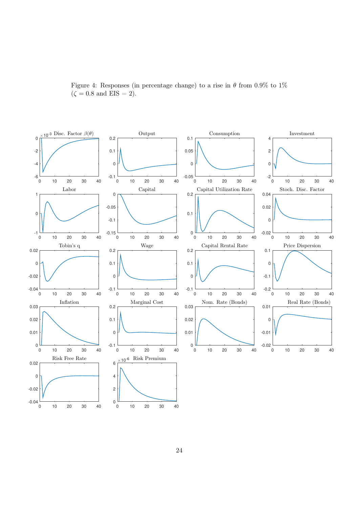

Figure 4: Responses (in percentage change) to a rise in  $\theta$  from 0.9% to 1%  $(\zeta = 0.8 \text{ and } EIS = 2).$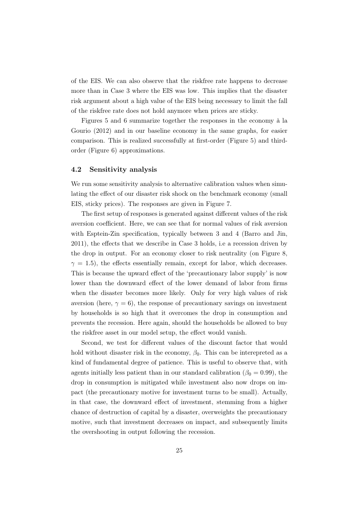of the EIS. We can also observe that the riskfree rate happens to decrease more than in Case 3 where the EIS was low. This implies that the disaster risk argument about a high value of the EIS being necessary to limit the fall of the riskfree rate does not hold anymore when prices are sticky.

Figures 5 and 6 summarize together the responses in the economy à la Gourio (2012) and in our baseline economy in the same graphs, for easier comparison. This is realized successfully at first-order (Figure 5) and thirdorder (Figure 6) approximations.

### 4.2 Sensitivity analysis

We run some sensitivity analysis to alternative calibration values when simulating the effect of our disaster risk shock on the benchmark economy (small EIS, sticky prices). The responses are given in Figure 7.

The first setup of responses is generated against different values of the risk aversion coefficient. Here, we can see that for normal values of risk aversion with Esptein-Zin specification, typically between 3 and 4 (Barro and Jin, 2011), the effects that we describe in Case 3 holds, i.e a recession driven by the drop in output. For an economy closer to risk neutrality (on Figure 8,  $\gamma = 1.5$ ), the effects essentially remain, except for labor, which decreases. This is because the upward effect of the 'precautionary labor supply' is now lower than the downward effect of the lower demand of labor from firms when the disaster becomes more likely. Only for very high values of risk aversion (here,  $\gamma = 6$ ), the response of precautionary savings on investment by households is so high that it overcomes the drop in consumption and prevents the recession. Here again, should the households be allowed to buy the riskfree asset in our model setup, the effect would vanish.

Second, we test for different values of the discount factor that would hold without disaster risk in the economy,  $\beta_0$ . This can be interepreted as a kind of fundamental degree of patience. This is useful to observe that, with agents initially less patient than in our standard calibration ( $\beta_0 = 0.99$ ), the drop in consumption is mitigated while investment also now drops on impact (the precautionary motive for investment turns to be small). Actually, in that case, the downward effect of investment, stemming from a higher chance of destruction of capital by a disaster, overweights the precautionary motive, such that investment decreases on impact, and subsequently limits the overshooting in output following the recession.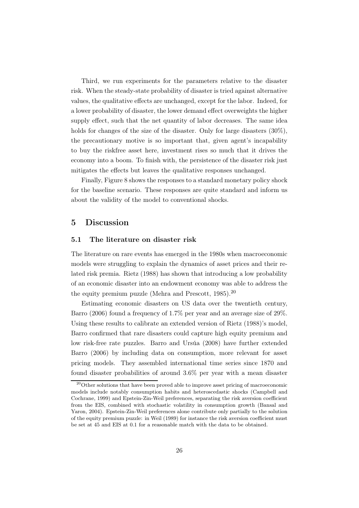Third, we run experiments for the parameters relative to the disaster risk. When the steady-state probability of disaster is tried against alternative values, the qualitative effects are unchanged, except for the labor. Indeed, for a lower probability of disaster, the lower demand effect overweights the higher supply effect, such that the net quantity of labor decreases. The same idea holds for changes of the size of the disaster. Only for large disasters  $(30\%)$ , the precautionary motive is so important that, given agent's incapability to buy the riskfree asset here, investment rises so much that it drives the economy into a boom. To finish with, the persistence of the disaster risk just mitigates the effects but leaves the qualitative responses unchanged.

Finally, Figure 8 shows the responses to a standard monetary policy shock for the baseline scenario. These responses are quite standard and inform us about the validity of the model to conventional shocks.

# 5 Discussion

### 5.1 The literature on disaster risk

The literature on rare events has emerged in the 1980s when macroeconomic models were struggling to explain the dynamics of asset prices and their related risk premia. Rietz (1988) has shown that introducing a low probability of an economic disaster into an endowment economy was able to address the the equity premium puzzle (Mehra and Prescott, 1985).<sup>20</sup>

Estimating economic disasters on US data over the twentieth century, Barro (2006) found a frequency of 1.7% per year and an average size of 29%. Using these results to calibrate an extended version of Rietz (1988)'s model, Barro confirmed that rare disasters could capture high equity premium and low risk-free rate puzzles. Barro and Ursúa (2008) have further extended Barro (2006) by including data on consumption, more relevant for asset pricing models. They assembled international time series since 1870 and found disaster probabilities of around 3.6% per year with a mean disaster

<sup>&</sup>lt;sup>20</sup>Other solutions that have been proved able to improve asset pricing of macroeconomic models include notably consumption habits and heteroscedastic shocks (Campbell and Cochrane, 1999) and Epstein-Zin-Weil preferences, separating the risk aversion coefficient from the EIS, combined with stochastic volatility in consumption growth (Bansal and Yaron, 2004). Epstein-Zin-Weil preferences alone contribute only partially to the solution of the equity premium puzzle: in Weil (1989) for instance the risk aversion coefficient must be set at 45 and EIS at 0.1 for a reasonable match with the data to be obtained.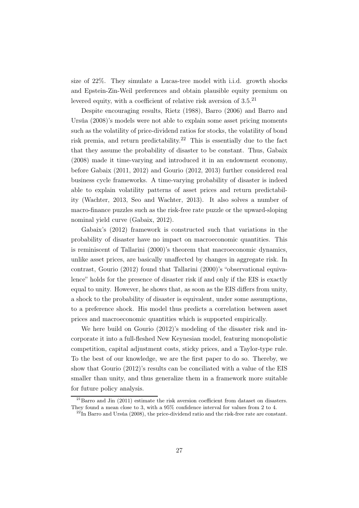size of 22%. They simulate a Lucas-tree model with i.i.d. growth shocks and Epstein-Zin-Weil preferences and obtain plausible equity premium on levered equity, with a coefficient of relative risk aversion of 3.5.<sup>21</sup>

Despite encouraging results, Rietz (1988), Barro (2006) and Barro and Ursúa (2008)'s models were not able to explain some asset pricing moments such as the volatility of price-dividend ratios for stocks, the volatility of bond risk premia, and return predictability.<sup>22</sup> This is essentially due to the fact that they assume the probability of disaster to be constant. Thus, Gabaix (2008) made it time-varying and introduced it in an endowment economy, before Gabaix (2011, 2012) and Gourio (2012, 2013) further considered real business cycle frameworks. A time-varying probability of disaster is indeed able to explain volatility patterns of asset prices and return predictability (Wachter, 2013, Seo and Wachter, 2013). It also solves a number of macro-finance puzzles such as the risk-free rate puzzle or the upward-sloping nominal yield curve (Gabaix, 2012).

Gabaix's (2012) framework is constructed such that variations in the probability of disaster have no impact on macroeconomic quantities. This is reminiscent of Tallarini (2000)'s theorem that macroeconomic dynamics, unlike asset prices, are basically unaffected by changes in aggregate risk. In contrast, Gourio (2012) found that Tallarini (2000)'s "observational equivalence" holds for the presence of disaster risk if and only if the EIS is exactly equal to unity. However, he shows that, as soon as the EIS differs from unity, a shock to the probability of disaster is equivalent, under some assumptions, to a preference shock. His model thus predicts a correlation between asset prices and macroeconomic quantities which is supported empirically.

We here build on Gourio (2012)'s modeling of the disaster risk and incorporate it into a full-fleshed New Keynesian model, featuring monopolistic competition, capital adjustment costs, sticky prices, and a Taylor-type rule. To the best of our knowledge, we are the first paper to do so. Thereby, we show that Gourio (2012)'s results can be conciliated with a value of the EIS smaller than unity, and thus generalize them in a framework more suitable for future policy analysis.

 $^{21}$ Barro and Jin (2011) estimate the risk aversion coefficient from dataset on disasters. They found a mean close to 3, with a 95% confidence interval for values from 2 to 4.

 $^{22}$ In Barro and Ursúa (2008), the price-dividend ratio and the risk-free rate are constant.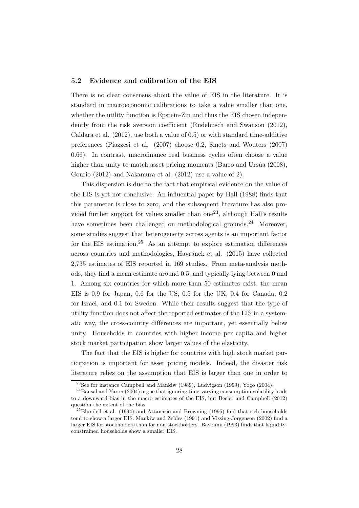### 5.2 Evidence and calibration of the EIS

There is no clear consensus about the value of EIS in the literature. It is standard in macroeconomic calibrations to take a value smaller than one, whether the utility function is Epstein-Zin and thus the EIS chosen independently from the risk aversion coefficient (Rudebusch and Swanson (2012), Caldara et al. (2012), use both a value of 0.5) or with standard time-additive preferences (Piazzesi et al. (2007) choose 0.2, Smets and Wouters (2007) 0.66). In contrast, macrofinance real business cycles often choose a value higher than unity to match asset pricing moments (Barro and Ursúa (2008), Gourio (2012) and Nakamura et al. (2012) use a value of 2).

This dispersion is due to the fact that empirical evidence on the value of the EIS is yet not conclusive. An influential paper by Hall (1988) finds that this parameter is close to zero, and the subsequent literature has also provided further support for values smaller than one<sup>23</sup>, although Hall's results have sometimes been challenged on methodological grounds.<sup>24</sup> Moreover, some studies suggest that heterogeneity across agents is an important factor for the EIS estimation.<sup>25</sup> As an attempt to explore estimation differences across countries and methodologies, Havránek et al. (2015) have collected 2,735 estimates of EIS reported in 169 studies. From meta-analysis methods, they find a mean estimate around 0.5, and typically lying between 0 and 1. Among six countries for which more than 50 estimates exist, the mean EIS is 0.9 for Japan, 0.6 for the US, 0.5 for the UK, 0.4 for Canada, 0.2 for Israel, and 0.1 for Sweden. While their results suggest that the type of utility function does not affect the reported estimates of the EIS in a systematic way, the cross-country differences are important, yet essentially below unity. Households in countries with higher income per capita and higher stock market participation show larger values of the elasticity.

The fact that the EIS is higher for countries with high stock market participation is important for asset pricing models. Indeed, the disaster risk literature relies on the assumption that EIS is larger than one in order to

 $^{23}$ See for instance Campbell and Mankiw (1989), Ludvigson (1999), Yogo (2004).

 $24$ Bansal and Yaron (2004) argue that ignoring time-varying consumption volatility leads to a downward bias in the macro estimates of the EIS, but Beeler and Campbell (2012) question the extent of the bias.

 $^{25}$ Blundell et al. (1994) and Attanasio and Browning (1995) find that rich households tend to show a larger EIS. Mankiw and Zeldes (1991) and Vissing-Jorgensen (2002) find a larger EIS for stockholders than for non-stockholders. Bayoumi (1993) finds that liquidityconstrained households show a smaller EIS.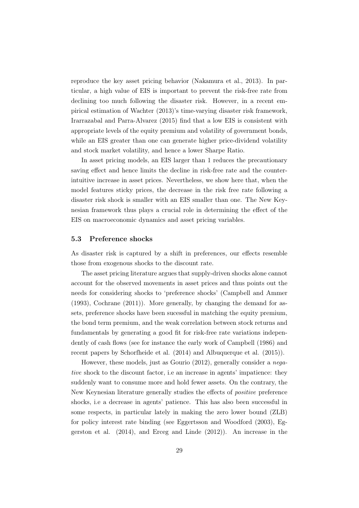reproduce the key asset pricing behavior (Nakamura et al., 2013). In particular, a high value of EIS is important to prevent the risk-free rate from declining too much following the disaster risk. However, in a recent empirical estimation of Wachter (2013)'s time-varying disaster risk framework, Irarrazabal and Parra-Alvarez (2015) find that a low EIS is consistent with appropriate levels of the equity premium and volatility of government bonds, while an EIS greater than one can generate higher price-dividend volatility and stock market volatility, and hence a lower Sharpe Ratio.

In asset pricing models, an EIS larger than 1 reduces the precautionary saving effect and hence limits the decline in risk-free rate and the counterintuitive increase in asset prices. Nevertheless, we show here that, when the model features sticky prices, the decrease in the risk free rate following a disaster risk shock is smaller with an EIS smaller than one. The New Keynesian framework thus plays a crucial role in determining the effect of the EIS on macroeconomic dynamics and asset pricing variables.

### 5.3 Preference shocks

As disaster risk is captured by a shift in preferences, our effects resemble those from exogenous shocks to the discount rate.

The asset pricing literature argues that supply-driven shocks alone cannot account for the observed movements in asset prices and thus points out the needs for considering shocks to 'preference shocks' (Campbell and Ammer (1993), Cochrane (2011)). More generally, by changing the demand for assets, preference shocks have been sucessful in matching the equity premium, the bond term premium, and the weak correlation between stock returns and fundamentals by generating a good fit for risk-free rate variations independently of cash flows (see for instance the early work of Campbell (1986) and recent papers by Schorfheide et al. (2014) and Albuquerque et al. (2015)).

However, these models, just as Gourio (2012), generally consider a *negative* shock to the discount factor, i.e an increase in agents' impatience: they suddenly want to consume more and hold fewer assets. On the contrary, the New Keynesian literature generally studies the effects of *positive* preference shocks, i.e a decrease in agents' patience. This has also been successful in some respects, in particular lately in making the zero lower bound (ZLB) for policy interest rate binding (see Eggertsson and Woodford (2003), Eggerston et al. (2014), and Erceg and Linde (2012)). An increase in the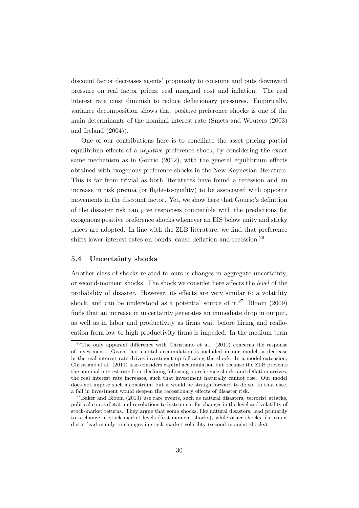discount factor decreases agents' propensity to consume and puts downward pressure on real factor prices, real marginal cost and inflation. The real interest rate must diminish to reduce deflationary pressures. Empirically, variance decomposition shows that positive preference shocks is one of the main determinants of the nominal interest rate (Smets and Wouters (2003) and Ireland (2004)).

One of our contributions here is to conciliate the asset pricing partial equilibrium effects of a *negative* preference shock, by considering the exact same mechanism as in Gourio (2012), with the general equilibrium effects obtained with exogenous preference shocks in the New Keynesian literature. This is far from trivial as both literatures have found a recession and an increase in risk premia (or flight-to-quality) to be associated with opposite movements in the discount factor. Yet, we show here that Gourio's definition of the disaster risk can give responses compatible with the predictions for exogenous positive preference shocks whenever an EIS below unity and sticky prices are adopted. In line with the ZLB literature, we find that preference shifts lower interest rates on bonds, cause deflation and recession.<sup>26</sup>

### 5.4 Uncertainty shocks

Another class of shocks related to ours is changes in aggregate uncertainty, or second-moment shocks. The shock we consider here affects the *level* of the probability of disaster. However, its effects are very similar to a volatility shock, and can be understood as a potential source of it.<sup>27</sup> Bloom (2009) finds that an increase in uncertainty generates an immediate drop in output, as well as in labor and productivity as firms wait before hiring and reallocation from low to high productivity firms is impeded. In the medium term

 $26$ The only apparent difference with Christiano et al. (2011) concerns the response of investment. Given that capital accumulation is included in our model, a decrease in the real interest rate drives investment up following the shock. In a model extension, Christiano et al. (2011) also considers capital accumulation but because the ZLB prevents the nominal interest rate from declining following a preference shock, and deflation arrives, the real interest rate increases, such that investment naturally cannot rise. Our model does not impose such a constraint but it would be straightforward to do so. In that case, a fall in investment would deepen the recessionary effects of disaster risk.

 $^{27}$ Baker and Bloom (2013) use rare events, such as natural disasters, terrorist attacks, political coups d'état and revolutions to instrument for changes in the level and volatility of stock-market returns. They argue that some shocks, like natural disasters, lead primarily to a change in stock-market levels (first-moment shocks), while other shocks like coups d'état lead mainly to changes in stock-market volatility (second-moment shocks).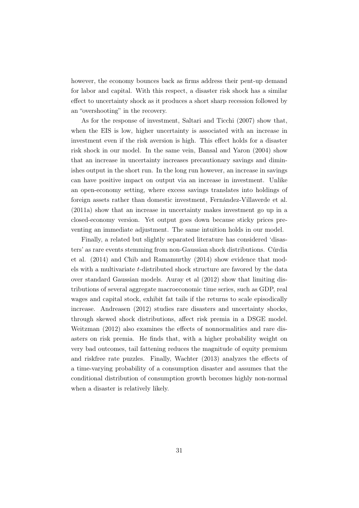however, the economy bounces back as firms address their pent-up demand for labor and capital. With this respect, a disaster risk shock has a similar effect to uncertainty shock as it produces a short sharp recession followed by an "overshooting" in the recovery.

As for the response of investment, Saltari and Ticchi (2007) show that, when the EIS is low, higher uncertainty is associated with an increase in investment even if the risk aversion is high. This effect holds for a disaster risk shock in our model. In the same vein, Bansal and Yaron (2004) show that an increase in uncertainty increases precautionary savings and diminishes output in the short run. In the long run however, an increase in savings can have positive impact on output via an increase in investment. Unlike an open-economy setting, where excess savings translates into holdings of foreign assets rather than domestic investment, Fernández-Villaverde et al. (2011a) show that an increase in uncertainty makes investment go up in a closed-economy version. Yet output goes down because sticky prices preventing an immediate adjustment. The same intuition holds in our model.

Finally, a related but slightly separated literature has considered 'disasters' as rare events stemming from non-Gaussian shock distributions. Cúrdia et al. (2014) and Chib and Ramamurthy (2014) show evidence that models with a multivariate t-distributed shock structure are favored by the data over standard Gaussian models. Auray et al (2012) show that limiting distributions of several aggregate macroeconomic time series, such as GDP, real wages and capital stock, exhibit fat tails if the returns to scale episodically increase. Andreasen (2012) studies rare disasters and uncertainty shocks, through skewed shock distributions, affect risk premia in a DSGE model. Weitzman (2012) also examines the effects of nonnormalities and rare disasters on risk premia. He finds that, with a higher probability weight on very bad outcomes, tail fattening reduces the magnitude of equity premium and riskfree rate puzzles. Finally, Wachter (2013) analyzes the effects of a time-varying probability of a consumption disaster and assumes that the conditional distribution of consumption growth becomes highly non-normal when a disaster is relatively likely.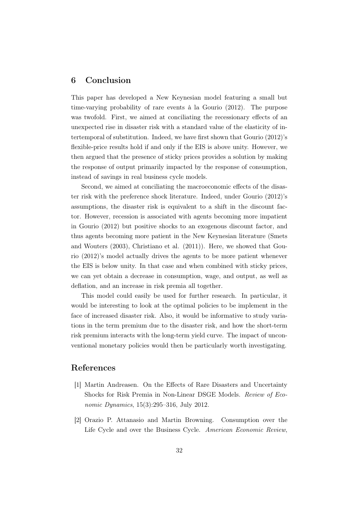# 6 Conclusion

This paper has developed a New Keynesian model featuring a small but time-varying probability of rare events à la Gourio (2012). The purpose was twofold. First, we aimed at conciliating the recessionary effects of an unexpected rise in disaster risk with a standard value of the elasticity of intertemporal of substitution. Indeed, we have first shown that Gourio (2012)'s flexible-price results hold if and only if the EIS is above unity. However, we then argued that the presence of sticky prices provides a solution by making the response of output primarily impacted by the response of consumption, instead of savings in real business cycle models.

Second, we aimed at conciliating the macroeconomic effects of the disaster risk with the preference shock literature. Indeed, under Gourio (2012)'s assumptions, the disaster risk is equivalent to a shift in the discount factor. However, recession is associated with agents becoming more impatient in Gourio (2012) but positive shocks to an exogenous discount factor, and thus agents becoming more patient in the New Keynesian literature (Smets and Wouters (2003), Christiano et al. (2011)). Here, we showed that Gourio (2012)'s model actually drives the agents to be more patient whenever the EIS is below unity. In that case and when combined with sticky prices, we can yet obtain a decrease in consumption, wage, and output, as well as deflation, and an increase in risk premia all together.

This model could easily be used for further research. In particular, it would be interesting to look at the optimal policies to be implement in the face of increased disaster risk. Also, it would be informative to study variations in the term premium due to the disaster risk, and how the short-term risk premium interacts with the long-term yield curve. The impact of unconventional monetary policies would then be particularly worth investigating.

# References

- [1] Martin Andreasen. On the Effects of Rare Disasters and Uncertainty Shocks for Risk Premia in Non-Linear DSGE Models. *Review of Economic Dynamics*, 15(3):295–316, July 2012.
- [2] Orazio P. Attanasio and Martin Browning. Consumption over the Life Cycle and over the Business Cycle. *American Economic Review*,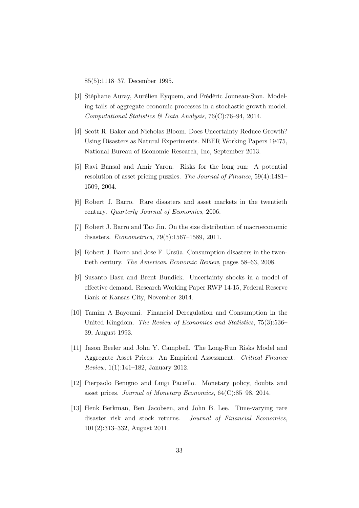85(5):1118–37, December 1995.

- [3] Stéphane Auray, Aurélien Eyquem, and Frédéric Jouneau-Sion. Modeling tails of aggregate economic processes in a stochastic growth model. *Computational Statistics & Data Analysis*, 76(C):76–94, 2014.
- [4] Scott R. Baker and Nicholas Bloom. Does Uncertainty Reduce Growth? Using Disasters as Natural Experiments. NBER Working Papers 19475, National Bureau of Economic Research, Inc, September 2013.
- [5] Ravi Bansal and Amir Yaron. Risks for the long run: A potential resolution of asset pricing puzzles. *The Journal of Finance*, 59(4):1481– 1509, 2004.
- [6] Robert J. Barro. Rare disasters and asset markets in the twentieth century. *Quarterly Journal of Economics*, 2006.
- [7] Robert J. Barro and Tao Jin. On the size distribution of macroeconomic disasters. *Econometrica*, 79(5):1567–1589, 2011.
- [8] Robert J. Barro and Jose F. Ursúa. Consumption disasters in the twentieth century. *The American Economic Review*, pages 58–63, 2008.
- [9] Susanto Basu and Brent Bundick. Uncertainty shocks in a model of effective demand. Research Working Paper RWP 14-15, Federal Reserve Bank of Kansas City, November 2014.
- [10] Tamim A Bayoumi. Financial Deregulation and Consumption in the United Kingdom. *The Review of Economics and Statistics*, 75(3):536– 39, August 1993.
- [11] Jason Beeler and John Y. Campbell. The Long-Run Risks Model and Aggregate Asset Prices: An Empirical Assessment. *Critical Finance Review*, 1(1):141–182, January 2012.
- [12] Pierpaolo Benigno and Luigi Paciello. Monetary policy, doubts and asset prices. *Journal of Monetary Economics*, 64(C):85–98, 2014.
- [13] Henk Berkman, Ben Jacobsen, and John B. Lee. Time-varying rare disaster risk and stock returns. *Journal of Financial Economics*, 101(2):313–332, August 2011.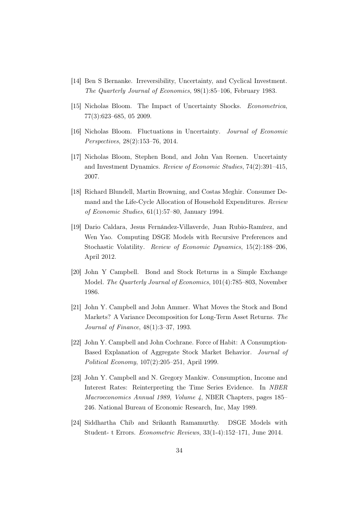- [14] Ben S Bernanke. Irreversibility, Uncertainty, and Cyclical Investment. *The Quarterly Journal of Economics*, 98(1):85–106, February 1983.
- [15] Nicholas Bloom. The Impact of Uncertainty Shocks. *Econometrica*, 77(3):623–685, 05 2009.
- [16] Nicholas Bloom. Fluctuations in Uncertainty. *Journal of Economic Perspectives*, 28(2):153–76, 2014.
- [17] Nicholas Bloom, Stephen Bond, and John Van Reenen. Uncertainty and Investment Dynamics. *Review of Economic Studies*, 74(2):391–415, 2007.
- [18] Richard Blundell, Martin Browning, and Costas Meghir. Consumer Demand and the Life-Cycle Allocation of Household Expenditures. *Review of Economic Studies*, 61(1):57–80, January 1994.
- [19] Dario Caldara, Jesus Fernández-Villaverde, Juan Rubio-Ramírez, and Wen Yao. Computing DSGE Models with Recursive Preferences and Stochastic Volatility. *Review of Economic Dynamics*, 15(2):188–206, April 2012.
- [20] John Y Campbell. Bond and Stock Returns in a Simple Exchange Model. *The Quarterly Journal of Economics*, 101(4):785–803, November 1986.
- [21] John Y. Campbell and John Ammer. What Moves the Stock and Bond Markets? A Variance Decomposition for Long-Term Asset Returns. *The Journal of Finance*, 48(1):3–37, 1993.
- [22] John Y. Campbell and John Cochrane. Force of Habit: A Consumption-Based Explanation of Aggregate Stock Market Behavior. *Journal of Political Economy*, 107(2):205–251, April 1999.
- [23] John Y. Campbell and N. Gregory Mankiw. Consumption, Income and Interest Rates: Reinterpreting the Time Series Evidence. In *NBER Macroeconomics Annual 1989, Volume 4*, NBER Chapters, pages 185– 246. National Bureau of Economic Research, Inc, May 1989.
- [24] Siddhartha Chib and Srikanth Ramamurthy. DSGE Models with Student- t Errors. *Econometric Reviews*, 33(1-4):152–171, June 2014.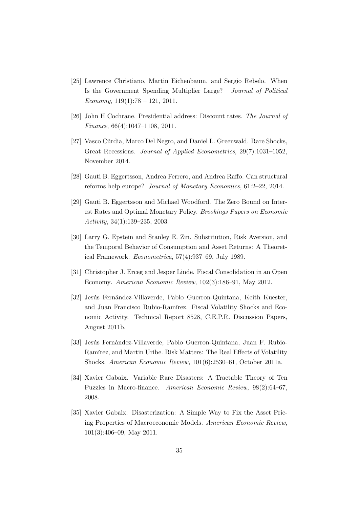- [25] Lawrence Christiano, Martin Eichenbaum, and Sergio Rebelo. When Is the Government Spending Multiplier Large? *Journal of Political Economy*, 119(1):78 – 121, 2011.
- [26] John H Cochrane. Presidential address: Discount rates. *The Journal of Finance*, 66(4):1047–1108, 2011.
- [27] Vasco Cúrdia, Marco Del Negro, and Daniel L. Greenwald. Rare Shocks, Great Recessions. *Journal of Applied Econometrics*, 29(7):1031–1052, November 2014.
- [28] Gauti B. Eggertsson, Andrea Ferrero, and Andrea Raffo. Can structural reforms help europe? *Journal of Monetary Economics*, 61:2–22, 2014.
- [29] Gauti B. Eggertsson and Michael Woodford. The Zero Bound on Interest Rates and Optimal Monetary Policy. *Brookings Papers on Economic Activity*, 34(1):139–235, 2003.
- [30] Larry G. Epstein and Stanley E. Zin. Substitution, Risk Aversion, and the Temporal Behavior of Consumption and Asset Returns: A Theoretical Framework. *Econometrica*, 57(4):937–69, July 1989.
- [31] Christopher J. Erceg and Jesper Linde. Fiscal Consolidation in an Open Economy. *American Economic Review*, 102(3):186–91, May 2012.
- [32] Jesús Fernández-Villaverde, Pablo Guerron-Quintana, Keith Kuester, and Juan Francisco Rubio-Ramírez. Fiscal Volatility Shocks and Economic Activity. Technical Report 8528, C.E.P.R. Discussion Papers, August 2011b.
- [33] Jesús Fernández-Villaverde, Pablo Guerron-Quintana, Juan F. Rubio-Ramírez, and Martin Uribe. Risk Matters: The Real Effects of Volatility Shocks. *American Economic Review*, 101(6):2530–61, October 2011a.
- [34] Xavier Gabaix. Variable Rare Disasters: A Tractable Theory of Ten Puzzles in Macro-finance. *American Economic Review*, 98(2):64–67, 2008.
- [35] Xavier Gabaix. Disasterization: A Simple Way to Fix the Asset Pricing Properties of Macroeconomic Models. *American Economic Review*, 101(3):406–09, May 2011.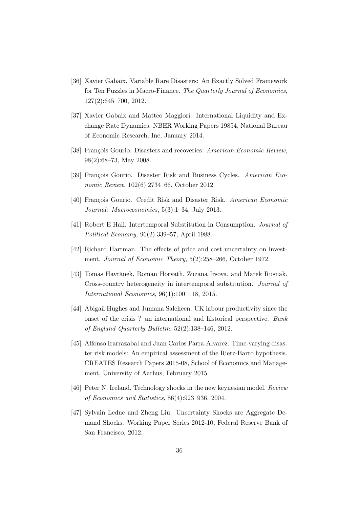- [36] Xavier Gabaix. Variable Rare Disasters: An Exactly Solved Framework for Ten Puzzles in Macro-Finance. *The Quarterly Journal of Economics*, 127(2):645–700, 2012.
- [37] Xavier Gabaix and Matteo Maggiori. International Liquidity and Exchange Rate Dynamics. NBER Working Papers 19854, National Bureau of Economic Research, Inc, January 2014.
- [38] François Gourio. Disasters and recoveries. *American Economic Review*, 98(2):68–73, May 2008.
- [39] François Gourio. Disaster Risk and Business Cycles. *American Economic Review*, 102(6):2734–66, October 2012.
- [40] François Gourio. Credit Risk and Disaster Risk. *American Economic Journal: Macroeconomics*, 5(3):1–34, July 2013.
- [41] Robert E Hall. Intertemporal Substitution in Consumption. *Journal of Political Economy*, 96(2):339–57, April 1988.
- [42] Richard Hartman. The effects of price and cost uncertainty on investment. *Journal of Economic Theory*, 5(2):258–266, October 1972.
- [43] Tomas Havránek, Roman Horvath, Zuzana Irsova, and Marek Rusnak. Cross-country heterogeneity in intertemporal substitution. *Journal of International Economics*, 96(1):100–118, 2015.
- [44] Abigail Hughes and Jumana Saleheen. UK labour productivity since the onset of the crisis ? an international and historical perspective. *Bank of England Quarterly Bulletin*, 52(2):138–146, 2012.
- [45] Alfonso Irarrazabal and Juan Carlos Parra-Alvarez. Time-varying disaster risk models: An empirical assessment of the Rietz-Barro hypothesis. CREATES Research Papers 2015-08, School of Economics and Management, University of Aarhus, February 2015.
- [46] Peter N. Ireland. Technology shocks in the new keynesian model. *Review of Economics and Statistics*, 86(4):923–936, 2004.
- [47] Sylvain Leduc and Zheng Liu. Uncertainty Shocks are Aggregate Demand Shocks. Working Paper Series 2012-10, Federal Reserve Bank of San Francisco, 2012.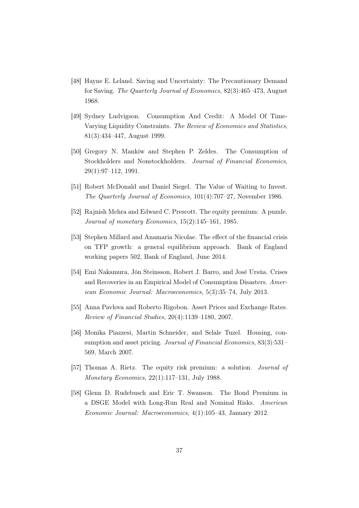- [48] Hayne E. Leland. Saving and Uncertainty: The Precautionary Demand for Saving. *The Quarterly Journal of Economics*, 82(3):465–473, August 1968.
- [49] Sydney Ludvigson. Consumption And Credit: A Model Of Time-Varying Liquidity Constraints. *The Review of Economics and Statistics*, 81(3):434–447, August 1999.
- [50] Gregory N. Mankiw and Stephen P. Zeldes. The Consumption of Stockholders and Nonstockholders. *Journal of Financial Economics*, 29(1):97–112, 1991.
- [51] Robert McDonald and Daniel Siegel. The Value of Waiting to Invest. *The Quarterly Journal of Economics*, 101(4):707–27, November 1986.
- [52] Rajnish Mehra and Edward C. Prescott. The equity premium: A puzzle. *Journal of monetary Economics*, 15(2):145–161, 1985.
- [53] Stephen Millard and Anamaria Nicolae. The effect of the financial crisis on TFP growth: a general equilibrium approach. Bank of England working papers 502, Bank of England, June 2014.
- [54] Emi Nakamura, Jón Steinsson, Robert J. Barro, and José Ursúa. Crises and Recoveries in an Empirical Model of Consumption Disasters. *American Economic Journal: Macroeconomics*, 5(3):35–74, July 2013.
- [55] Anna Pavlova and Roberto Rigobon. Asset Prices and Exchange Rates. *Review of Financial Studies*, 20(4):1139–1180, 2007.
- [56] Monika Piazzesi, Martin Schneider, and Selale Tuzel. Housing, consumption and asset pricing. *Journal of Financial Economics*, 83(3):531– 569, March 2007.
- [57] Thomas A. Rietz. The equity risk premium: a solution. *Journal of Monetary Economics*, 22(1):117–131, July 1988.
- [58] Glenn D. Rudebusch and Eric T. Swanson. The Bond Premium in a DSGE Model with Long-Run Real and Nominal Risks. *American Economic Journal: Macroeconomics*, 4(1):105–43, January 2012.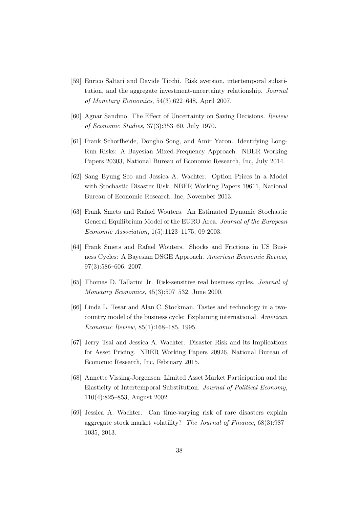- [59] Enrico Saltari and Davide Ticchi. Risk aversion, intertemporal substitution, and the aggregate investment-uncertainty relationship. *Journal of Monetary Economics*, 54(3):622–648, April 2007.
- [60] Agnar Sandmo. The Effect of Uncertainty on Saving Decisions. *Review of Economic Studies*, 37(3):353–60, July 1970.
- [61] Frank Schorfheide, Dongho Song, and Amir Yaron. Identifying Long-Run Risks: A Bayesian Mixed-Frequency Approach. NBER Working Papers 20303, National Bureau of Economic Research, Inc, July 2014.
- [62] Sang Byung Seo and Jessica A. Wachter. Option Prices in a Model with Stochastic Disaster Risk. NBER Working Papers 19611, National Bureau of Economic Research, Inc, November 2013.
- [63] Frank Smets and Rafael Wouters. An Estimated Dynamic Stochastic General Equilibrium Model of the EURO Area. *Journal of the European Economic Association*, 1(5):1123–1175, 09 2003.
- [64] Frank Smets and Rafael Wouters. Shocks and Frictions in US Business Cycles: A Bayesian DSGE Approach. *American Economic Review*, 97(3):586–606, 2007.
- [65] Thomas D. Tallarini Jr. Risk-sensitive real business cycles. *Journal of Monetary Economics*, 45(3):507–532, June 2000.
- [66] Linda L. Tesar and Alan C. Stockman. Tastes and technology in a twocountry model of the business cycle: Explaining international. *American Economic Review*, 85(1):168–185, 1995.
- [67] Jerry Tsai and Jessica A. Wachter. Disaster Risk and its Implications for Asset Pricing. NBER Working Papers 20926, National Bureau of Economic Research, Inc, February 2015.
- [68] Annette Vissing-Jorgensen. Limited Asset Market Participation and the Elasticity of Intertemporal Substitution. *Journal of Political Economy*, 110(4):825–853, August 2002.
- [69] Jessica A. Wachter. Can time-varying risk of rare disasters explain aggregate stock market volatility? *The Journal of Finance*, 68(3):987– 1035, 2013.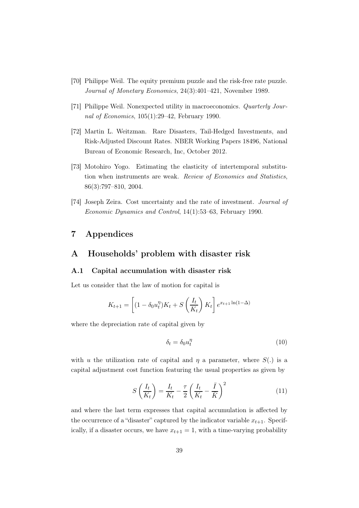- [70] Philippe Weil. The equity premium puzzle and the risk-free rate puzzle. *Journal of Monetary Economics*, 24(3):401–421, November 1989.
- [71] Philippe Weil. Nonexpected utility in macroeconomics. *Quarterly Journal of Economics*, 105(1):29–42, February 1990.
- [72] Martin L. Weitzman. Rare Disasters, Tail-Hedged Investments, and Risk-Adjusted Discount Rates. NBER Working Papers 18496, National Bureau of Economic Research, Inc, October 2012.
- [73] Motohiro Yogo. Estimating the elasticity of intertemporal substitution when instruments are weak. *Review of Economics and Statistics*, 86(3):797–810, 2004.
- [74] Joseph Zeira. Cost uncertainty and the rate of investment. *Journal of Economic Dynamics and Control*, 14(1):53–63, February 1990.

# 7 Appendices

# A Households' problem with disaster risk

### A.1 Capital accumulation with disaster risk

Let us consider that the law of motion for capital is

$$
K_{t+1} = \left[ (1 - \delta_0 u_t^{\eta}) K_t + S\left(\frac{I_t}{K_t}\right) K_t \right] e^{x_{t+1} \ln(1 - \Delta)}
$$

where the depreciation rate of capital given by

$$
\delta_t = \delta_0 u_t^{\eta} \tag{10}
$$

with u the utilization rate of capital and  $\eta$  a parameter, where  $S(.)$  is a capital adjustment cost function featuring the usual properties as given by

$$
S\left(\frac{I_t}{K_t}\right) = \frac{I_t}{K_t} - \frac{\tau}{2} \left(\frac{I_t}{K_t} - \frac{\bar{I}}{\bar{K}}\right)^2
$$
\n(11)

and where the last term expresses that capital accumulation is affected by the occurrence of a "disaster" captured by the indicator variable  $x_{t+1}$ . Specifically, if a disaster occurs, we have  $x_{t+1} = 1$ , with a time-varying probability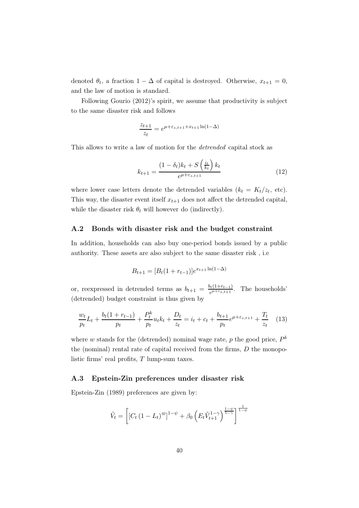denoted  $\theta_t$ , a fraction  $1 - \Delta$  of capital is destroyed. Otherwise,  $x_{t+1} = 0$ , and the law of motion is standard.

Following Gourio (2012)'s spirit, we assume that productivity is subject to the same disaster risk and follows

$$
\frac{z_{t+1}}{z_t} = e^{\mu + \varepsilon_{z,t+1} + x_{t+1} \ln(1-\Delta)}
$$

This allows to write a law of motion for the *detrended* capital stock as

$$
k_{t+1} = \frac{(1 - \delta_t)k_t + S\left(\frac{i_t}{k_t}\right)k_t}{e^{\mu + \varepsilon_{z,t+1}}}
$$
(12)

where lower case letters denote the detrended variables  $(k_t = K_t/z_t, \text{ etc}).$ This way, the disaster event itself  $x_{t+1}$  does not affect the detrended capital, while the disaster risk  $\theta_t$  will however do (indirectly).

### A.2 Bonds with disaster risk and the budget constraint

In addition, households can also buy one-period bonds issued by a public authority. These assets are also subject to the same disaster risk , i.e

$$
B_{t+1} = [B_t(1 + r_{t-1})]e^{x_{t+1}\ln(1 - \Delta)}
$$

or, reexpressed in detrended terms as  $b_{t+1} = \frac{b_t(1+r_{t-1})}{e^{\mu+\varepsilon}z_{t+1}}$  $e^{\mu + \epsilon_{z,t+1}}$ . The households' (detrended) budget constraint is thus given by

$$
\frac{w_t}{p_t}L_t + \frac{b_t(1+r_{t-1})}{p_t} + \frac{P_t^k}{p_t}u_t k_t + \frac{D_t}{z_t} = i_t + c_t + \frac{b_{t+1}}{p_t}e^{\mu + \varepsilon_{z,t+1}} + \frac{T_t}{z_t} \tag{13}
$$

where w stands for the (detrended) nominal wage rate, p the good price,  $P^k$ the (nominal) rental rate of capital received from the firms,  $D$  the monopolistic firms' real profits, T lump-sum taxes.

### A.3 Epstein-Zin preferences under disaster risk

Epstein-Zin (1989) preferences are given by:

$$
\tilde{V}_t = \left[ \left[ C_t \left( 1 - L_t \right)^{\varpi} \right]^{1 - \psi} + \beta_0 \left( E_t \tilde{V}_{t+1}^{1 - \gamma} \right)^{\frac{1 - \psi}{1 - \gamma}} \right]^{\frac{1}{1 - \psi}}
$$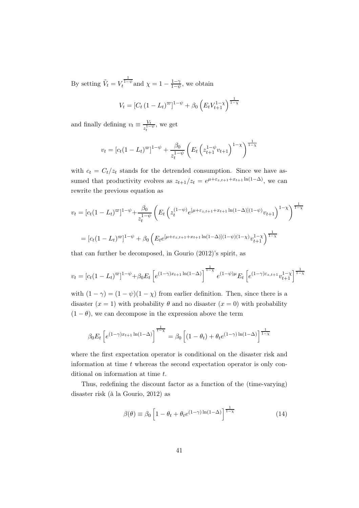By setting  $\tilde{V}_t = V_t^{\frac{1}{1-\psi}}$  and  $\chi = 1 - \frac{1-\gamma}{1-\psi}$  $\frac{1-\gamma}{1-\psi}$ , we obtain

$$
V_t = [C_t (1 - L_t)^{\varpi}]^{1 - \psi} + \beta_0 \left( E_t V_{t+1}^{1 - \chi} \right)^{\frac{1}{1 - \chi}}
$$

and finally defining  $v_t \equiv \frac{V_t}{z^{1-}}$  $\frac{V_t}{z_t^{1-\psi}}$ , we get

$$
v_t = [c_t(1 - L_t)^{\varpi}]^{1 - \psi} + \frac{\beta_0}{z_t^{1 - \psi}} \left( E_t \left( z_{t+1}^{1 - \psi} v_{t+1} \right)^{1 - \chi} \right)^{\frac{1}{1 - \chi}}
$$

with  $c_t = C_t/z_t$  stands for the detrended consumption. Since we have assumed that productivity evolves as  $z_{t+1}/z_t = e^{\mu + \varepsilon_{z,t+1} + x_{t+1} \ln(1-\Delta)}$ , we can rewrite the previous equation as

$$
v_t = [c_t(1 - L_t)^{\infty}]^{1 - \psi} + \frac{\beta_0}{z_t^{1 - \psi}} \left( E_t \left( z_t^{(1 - \psi)} e^{[\mu + \varepsilon_{z, t+1} + x_{t+1} \ln(1 - \Delta)](1 - \psi)} v_{t+1} \right)^{1 - \chi} \right)^{\frac{1}{1 - \chi}}
$$
  
= 
$$
[c_t(1 - L_t)^{\infty}]^{1 - \psi} + \beta_0 \left( E_t e^{[\mu + \varepsilon_{z, t+1} + x_{t+1} \ln(1 - \Delta)](1 - \psi)(1 - \chi)} v_{t+1}^{1 - \chi} \right)^{\frac{1}{1 - \chi}}
$$

that can further be decomposed, in Gourio (2012)'s spirit, as

$$
v_t = [c_t(1 - L_t)^{\varpi}]^{1 - \psi} + \beta_0 E_t \left[ e^{(1 - \gamma)x_{t+1} \ln(1 - \Delta)} \right]^{\frac{1}{1 - \chi}} e^{(1 - \psi)\mu} E_t \left[ e^{(1 - \gamma)\varepsilon_{z,t+1}} v_{t+1}^{1 - \chi} \right]^{\frac{1}{1 - \chi}}
$$

with  $(1 - \gamma) = (1 - \psi)(1 - \chi)$  from earlier definition. Then, since there is a disaster  $(x = 1)$  with probability  $\theta$  and no disaster  $(x = 0)$  with probability  $(1 - \theta)$ , we can decompose in the expression above the term

$$
\beta_0 E_t \left[ e^{(1-\gamma)x_{t+1} \ln(1-\Delta)} \right]^{1-\chi} = \beta_0 \left[ (1-\theta_t) + \theta_t e^{(1-\gamma) \ln(1-\Delta)} \right]^{1-\chi}
$$

where the first expectation operator is conditional on the disaster risk and information at time  $t$  whereas the second expectation operator is only conditional on information at time t.

Thus, redefining the discount factor as a function of the (time-varying) disaster risk (à la Gourio, 2012) as

$$
\beta(\theta) \equiv \beta_0 \left[ 1 - \theta_t + \theta_t e^{(1-\gamma)\ln(1-\Delta)} \right]^{\frac{1}{1-\chi}} \tag{14}
$$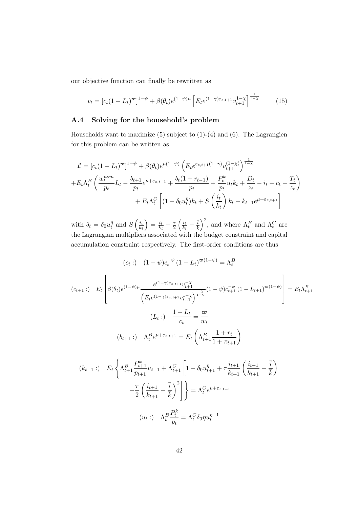our objective function can finally be rewritten as

$$
v_t = [c_t(1 - L_t)^{\varpi}]^{1 - \psi} + \beta(\theta_t)e^{(1 - \psi)\mu} \left[E_t e^{(1 - \gamma)\varepsilon_{z,t+1}} v_{t+1}^{1 - \chi}\right]^{\frac{1}{1 - \chi}} \tag{15}
$$

### A.4 Solving for the household's problem

Households want to maximize  $(5)$  subject to  $(1)-(4)$  and  $(6)$ . The Lagrangien for this problem can be written as

$$
\mathcal{L} = [c_t(1 - L_t)^{\varpi}]^{1 - \psi} + \beta(\theta_t)e^{\mu(1 - \psi)} \left(E_t e^{\varepsilon_{z,t+1}(1 - \gamma)} v_{t+1}^{(1 - \chi)}\right)^{\frac{1}{1 - \chi}}
$$
  
+  $E_t \Lambda_t^B \left(\frac{w_t^{nom}}{p_t} L_t - \frac{b_{t+1}}{p_t} e^{\mu + \varepsilon_{z,t+1}} + \frac{b_t(1 + r_{t-1})}{p_t} + \frac{P_t^k}{p_t} u_t k_t + \frac{D_t}{z_t} - i_t - c_t - \frac{T_t}{z_t}\right)$   
+  $E_t \Lambda_t^C \left[(1 - \delta_0 u_t^{\eta}) k_t + S\left(\frac{i_t}{k_t}\right) k_t - k_{t+1} e^{\mu + \varepsilon_{z,t+1}}\right]$ 

with  $\delta_t = \delta_0 u_t^{\eta}$  $t \atop t$  and  $S\left(\frac{i_t}{k_t}\right)$  $k_t$  $=\frac{i_{t}}{k_{t}}$  $\frac{i_t}{k_t} - \frac{\tau}{2}$ 2  $\int i_t$  $\frac{i_t}{k_t} - \frac{\bar{i}}{\bar{k}}$  $\bar{k}$  $\int_0^2$ , and where  $\Lambda_t^B$  and  $\Lambda_t^C$  are the Lagrangian multipliers associated with the budget constraint and capital accumulation constraint respectively. The first-order conditions are thus

$$
(c_t:) \quad (1 - \psi)c_t^{-\psi} (1 - L_t)^{\varpi(1 - \psi)} = \Lambda_t^B
$$
\n
$$
(c_{t+1}:) \quad E_t \left[ \beta(\theta_t)e^{(1 - \psi)\mu} \frac{e^{(1 - \gamma)\varepsilon_{z,t+1}}v_{t+1}^{-\chi}}{\left(E_t e^{(1 - \gamma)\varepsilon_{z,t+1}}v_{t+1}^{1 - \chi}\right)^{\frac{-\chi}{1 - \chi}}}(1 - \psi)c_{t+1}^{-\psi} (1 - L_{t+1})^{\varpi(1 - \psi)} \right] = E_t \Lambda_{t+1}^B
$$
\n
$$
(L_t:) \quad \frac{1 - L_t}{c_t} = \frac{\varpi}{w_t}
$$
\n
$$
(b_{t+1}:) \quad \Lambda_t^B e^{\mu + \varepsilon_{z,t+1}} = E_t \left( \Lambda_{t+1}^B \frac{1 + r_t}{1 + \pi_{t+1}} \right)
$$

$$
(k_{t+1} :) \quad E_t \left\{ \Lambda_{t+1}^B \frac{P_{t+1}^k}{p_{t+1}} u_{t+1} + \Lambda_{t+1}^C \left[ 1 - \delta_0 u_{t+1}^\eta + \tau \frac{i_{t+1}}{k_{t+1}} \left( \frac{i_{t+1}}{k_{t+1}} - \frac{\overline{i}}{k} \right) \right] - \frac{\tau}{2} \left( \frac{i_{t+1}}{k_{t+1}} - \frac{\overline{i}}{k} \right)^2 \right\} = \Lambda_t^C e^{\mu + \varepsilon_{z,t+1}}
$$
\n
$$
(u_t :) \quad \Lambda_t^B \frac{P_t^k}{p_t} = \Lambda_t^C \delta_0 \eta u_t^{\eta - 1}
$$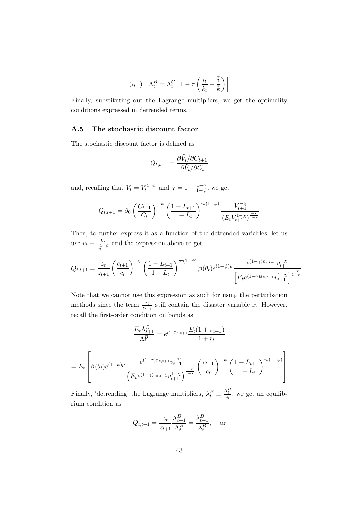$$
(i_t:)\quad \Lambda_t^B = \Lambda_t^C \left[1 - \tau \left(\frac{i_t}{k_t} - \frac{\bar{i}}{\bar{k}}\right)\right]
$$

Finally, substituting out the Lagrange multipliers, we get the optimality conditions expressed in detrended terms.

### A.5 The stochastic discount factor

The stochastic discount factor is defined as

$$
Q_{t,t+1} = \frac{\partial \tilde{V}_t / \partial C_{t+1}}{\partial \tilde{V}_t / \partial C_t}
$$

and, recalling that  $\tilde{V}_t = V_t^{\frac{1}{1-\psi}}$  and  $\chi = 1 - \frac{1-\gamma}{1-\psi}$  $\frac{1-\gamma}{1-\psi}$ , we get

$$
Q_{t,t+1} = \beta_0 \left(\frac{C_{t+1}}{C_t}\right)^{-\psi} \left(\frac{1 - L_{t+1}}{1 - L_t}\right)^{\varpi(1 - \psi)} \frac{V_{t+1}^{-\chi}}{(E_t V_{t+1}^{1 - \chi})^{\frac{-\chi}{1 - \chi}}}
$$

Then, to further express it as a function of the detrended variables, let us use  $v_t \equiv \frac{V_t}{e^{1-t}}$  $\frac{V_t}{z_t^{1-\psi}}$  and the expression above to get

$$
Q_{t,t+1} = \frac{z_t}{z_{t+1}} \left(\frac{c_{t+1}}{c_t}\right)^{-\psi} \left(\frac{1-L_{t+1}}{1-L_t}\right)^{\varpi(1-\psi)} \beta(\theta_t) e^{(1-\psi)\mu} \frac{e^{(1-\gamma)\varepsilon_{z,t+1}} v_{t+1}^{-\chi}}{\left[E_t e^{(1-\gamma)\varepsilon_{z,t+1}} v_{t+1}^{1-\chi}\right]^{\frac{-\chi}{1-\chi}}}
$$

Note that we cannot use this expression as such for using the perturbation methods since the term  $\frac{z_t}{z_{t+1}}$  still contain the disaster variable x. However, recall the first-order condition on bonds as

$$
\frac{E_t \Lambda_{t+1}^B}{\Lambda_t^B} = e^{\mu + \varepsilon_{z,t+1}} \frac{E_t (1 + \pi_{t+1})}{1 + r_t}
$$
  
= 
$$
E_t \left[ \beta(\theta_t) e^{(1 - \psi)\mu} \frac{e^{(1 - \gamma)\varepsilon_{z,t+1}} v_{t+1}^{-\chi}}{\left( E_t e^{(1 - \gamma)\varepsilon_{z,t+1}} v_{t+1}^{1 - \chi} \right)^{\frac{-\chi}{1 - \chi}}} \left( \frac{c_{t+1}}{c_t} \right)^{-\psi} \left( \frac{1 - L_{t+1}}{1 - L_t} \right)^{\varpi(1 - \psi)} \right]
$$

Finally, 'detrending' the Lagrange multipliers,  $\lambda_t^B \equiv \frac{\Lambda_t^B}{z_t}$ , we get an equilibrium condition as

$$
Q_{t,t+1} = \frac{z_t}{z_{t+1}} \frac{\Lambda_{t+1}^B}{\Lambda_t^B} = \frac{\lambda_{t+1}^B}{\lambda_t^B}
$$
, or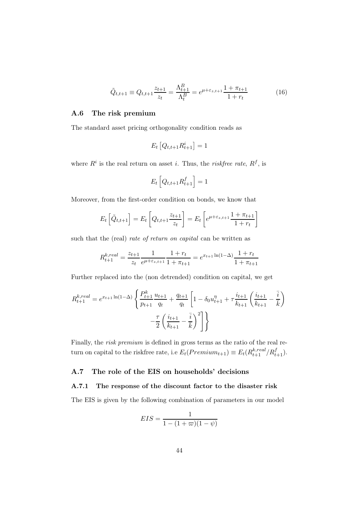$$
\tilde{Q}_{t,t+1} \equiv Q_{t,t+1} \frac{z_{t+1}}{z_t} = \frac{\Lambda_{t+1}^B}{\Lambda_t^B} = e^{\mu + \varepsilon_{z,t+1}} \frac{1 + \pi_{t+1}}{1 + r_t}
$$
\n(16)

### A.6 The risk premium

The standard asset pricing orthogonality condition reads as

$$
E_t\left[Q_{t,t+1}R_{t+1}^i\right] = 1
$$

where  $R^i$  is the real return on asset *i*. Thus, the *riskfree rate*,  $R^f$ , is

$$
E_t\left[Q_{t,t+1}R_{t+1}^f\right] = 1
$$

Moreover, from the first-order condition on bonds, we know that

$$
E_t\left[\tilde{Q}_{t,t+1}\right] = E_t\left[Q_{t,t+1}\frac{z_{t+1}}{z_t}\right] = E_t\left[e^{\mu + \varepsilon_{z,t+1}}\frac{1 + \pi_{t+1}}{1 + r_t}\right]
$$

such that the (real) *rate of return on capital* can be written as

$$
R_{t+1}^{k,real} = \frac{z_{t+1}}{z_t} \frac{1}{e^{\mu + \varepsilon_{z,t+1}}} \frac{1 + r_t}{1 + \pi_{t+1}} = e^{x_{t+1} \ln(1 - \Delta)} \frac{1 + r_t}{1 + \pi_{t+1}}
$$

Further replaced into the (non detrended) condition on capital, we get

$$
R_{t+1}^{k,real} = e^{x_{t+1}\ln(1-\Delta)} \left\{ \frac{P_{t+1}^k}{p_{t+1}} \frac{u_{t+1}}{q_t} + \frac{q_{t+1}}{q_t} \left[ 1 - \delta_0 u_{t+1}^{\eta} + \tau \frac{i_{t+1}}{k_{t+1}} \left( \frac{i_{t+1}}{k_{t+1}} - \frac{\overline{i}}{k} \right) \right] - \frac{\tau}{2} \left( \frac{i_{t+1}}{k_{t+1}} - \frac{\overline{i}}{k} \right)^2 \right\}
$$

Finally, the *risk premium* is defined in gross terms as the ratio of the real return on capital to the riskfree rate, i.e  $E_t(Premium_{t+1}) \equiv E_t(R_{t+1}^{k,real}/R_{t+1}^f)$ .

### A.7 The role of the EIS on households' decisions

# A.7.1 The response of the discount factor to the disaster risk

The EIS is given by the following combination of parameters in our model

$$
EIS = \frac{1}{1 - (1 + \varpi)(1 - \psi)}
$$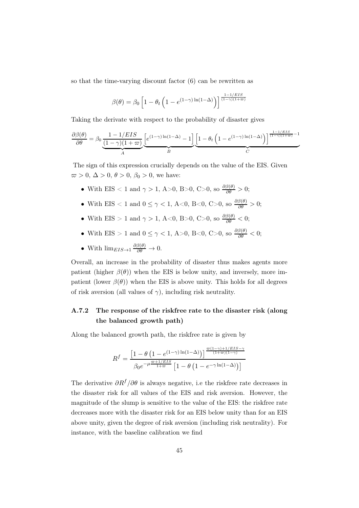so that the time-varying discount factor (6) can be rewritten as

$$
\beta(\theta) = \beta_0 \left[ 1 - \theta_t \left( 1 - e^{(1-\gamma)\ln(1-\Delta)} \right) \right]^{\frac{1-1/ELS}{(1-\gamma)(1+\varpi)}}
$$

Taking the derivate with respect to the probability of disaster gives

$$
\frac{\partial \beta(\theta)}{\partial \theta} = \beta_0 \underbrace{\frac{1 - 1/EIS}{(1 - \gamma)(1 + \varpi)}}_{A} \underbrace{\left[e^{(1 - \gamma)\ln(1 - \Delta)} - 1\right]}_{B} \underbrace{\left[1 - \theta_t \left(1 - e^{(1 - \gamma)\ln(1 - \Delta)}\right)\right]^{\frac{1 - 1/EIS}{(1 - \gamma)(1 + \varpi)} - 1}}_{C}
$$

The sign of this expression crucially depends on the value of the EIS. Given  $\varpi > 0$ ,  $\Delta > 0$ ,  $\theta > 0$ ,  $\beta_0 > 0$ , we have:

- With EIS < 1 and  $\gamma > 1$ , A > 0, B > 0, C > 0, so  $\frac{\partial \beta(\theta)}{\partial \theta} > 0$ ;
- With EIS  $\lt 1$  and  $0 \leq \gamma \lt 1$ , A $\lt 0$ , B $\lt 0$ , C $>0$ , so  $\frac{\partial \beta(\theta)}{\partial \theta} > 0$ ;
- With EIS > 1 and  $\gamma > 1$ , A<0, B>0, C>0, so  $\frac{\partial \beta(\theta)}{\partial \theta} < 0$ ;
- With EIS > 1 and  $0 \le \gamma < 1$ , A > 0, B < 0, C > 0, so  $\frac{\partial \beta(\theta)}{\partial \theta} < 0$ ;
- With  $\lim_{EIS \to 1} \frac{\partial \beta(\theta)}{\partial \theta} \to 0$ .

Overall, an increase in the probability of disaster thus makes agents more patient (higher  $\beta(\theta)$ ) when the EIS is below unity, and inversely, more impatient (lower  $\beta(\theta)$ ) when the EIS is above unity. This holds for all degrees of risk aversion (all values of  $\gamma$ ), including risk neutrality.

# A.7.2 The response of the riskfree rate to the disaster risk (along the balanced growth path)

Along the balanced growth path, the riskfree rate is given by

$$
R^{f} = \frac{\left[1 - \theta \left(1 - e^{(1-\gamma)\ln(1-\Delta)}\right)\right]^{\frac{\varpi (1-\gamma) + 1/EIS - \gamma}{(1+\varpi)(1-\gamma)}}}{\beta_0 e^{-\mu \frac{\varpi + 1/EIS}{1+\varpi}} \left[1 - \theta \left(1 - e^{-\gamma \ln(1-\Delta)}\right)\right]}
$$

The derivative  $\partial R^f / \partial \theta$  is always negative, i.e the riskfree rate decreases in the disaster risk for all values of the EIS and risk aversion. However, the magnitude of the slump is sensitive to the value of the EIS: the riskfree rate decreases more with the disaster risk for an EIS below unity than for an EIS above unity, given the degree of risk aversion (including risk neutrality). For instance, with the baseline calibration we find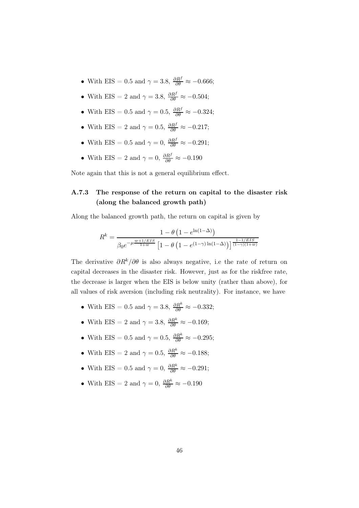- With EIS = 0.5 and  $\gamma = 3.8$ ,  $\frac{\partial R^f}{\partial \theta} \approx -0.666$ ;
- With EIS = 2 and  $\gamma = 3.8$ ,  $\frac{\partial R^f}{\partial \theta} \approx -0.504$ ;
- With EIS = 0.5 and  $\gamma = 0.5$ ,  $\frac{\partial R^f}{\partial \theta} \approx -0.324$ ;
- With EIS = 2 and  $\gamma = 0.5$ ,  $\frac{\partial R^f}{\partial \theta} \approx -0.217$ ;
- With EIS = 0.5 and  $\gamma = 0$ ,  $\frac{\partial R^f}{\partial \theta} \approx -0.291$ ;
- With EIS = 2 and  $\gamma = 0$ ,  $\frac{\partial R^f}{\partial \theta} \approx -0.190$

Note again that this is not a general equilibrium effect.

# A.7.3 The response of the return on capital to the disaster risk (along the balanced growth path)

Along the balanced growth path, the return on capital is given by

$$
R^k = \frac{1-\theta\left(1-e^{\ln(1-\Delta)}\right)}{\beta_0 e^{-\mu\frac{\varpi+1/ES}{1+\varpi}}\left[1-\theta\left(1-e^{(1-\gamma)\ln(1-\Delta)}\right)\right]^{\frac{1-1/ES}{(1-\gamma)(1+\varpi)}}}
$$

The derivative  $\partial R^k/\partial \theta$  is also always negative, i.e the rate of return on capital decreases in the disaster risk. However, just as for the riskfree rate, the decrease is larger when the EIS is below unity (rather than above), for all values of risk aversion (including risk neutrality). For instance, we have

- With EIS = 0.5 and  $\gamma = 3.8$ ,  $\frac{\partial R^k}{\partial \theta} \approx -0.332$ ;
- With EIS = 2 and  $\gamma = 3.8$ ,  $\frac{\partial R^k}{\partial \theta} \approx -0.169$ ;
- With EIS = 0.5 and  $\gamma = 0.5$ ,  $\frac{\partial R^k}{\partial \theta} \approx -0.295$ ;
- With EIS = 2 and  $\gamma = 0.5$ ,  $\frac{\partial R^k}{\partial \theta} \approx -0.188$ ;
- With EIS = 0.5 and  $\gamma = 0$ ,  $\frac{\partial R^k}{\partial \theta} \approx -0.291$ ;
- With EIS = 2 and  $\gamma = 0$ ,  $\frac{\partial R^k}{\partial \theta} \approx -0.190$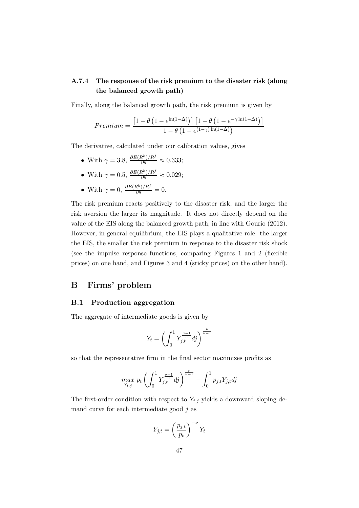# A.7.4 The response of the risk premium to the disaster risk (along the balanced growth path)

Finally, along the balanced growth path, the risk premium is given by

$$
Premium = \frac{\left[1 - \theta \left(1 - e^{\ln(1-\Delta)}\right)\right] \left[1 - \theta \left(1 - e^{-\gamma \ln(1-\Delta)}\right)\right]}{1 - \theta \left(1 - e^{(1-\gamma)\ln(1-\Delta)}\right)}
$$

The derivative, calculated under our calibration values, gives

- With  $\gamma = 3.8, \frac{\partial E(R^k)/R^f}{\partial \theta} \approx 0.333;$
- With  $\gamma = 0.5$ ,  $\frac{\partial E(R^k)/R^f}{\partial \theta} \approx 0.029$ ;
- With  $\gamma = 0$ ,  $\frac{\partial E(R^k)/R^f}{\partial \theta} = 0$ .

The risk premium reacts positively to the disaster risk, and the larger the risk aversion the larger its magnitude. It does not directly depend on the value of the EIS along the balanced growth path, in line with Gourio (2012). However, in general equilibrium, the EIS plays a qualitative role: the larger the EIS, the smaller the risk premium in response to the disaster risk shock (see the impulse response functions, comparing Figures 1 and 2 (flexible prices) on one hand, and Figures 3 and 4 (sticky prices) on the other hand).

# B Firms' problem

### B.1 Production aggregation

The aggregate of intermediate goods is given by

$$
Y_t=\left(\int_0^1 Y_{j,t}^{\frac{\nu-1}{\nu}}dj\right)^{\frac{\nu}{\nu-1}}
$$

so that the representative firm in the final sector maximizes profits as

$$
\max_{Y_{t,j}} p_t \left( \int_0^1 Y_{j,t}^{\frac{\nu-1}{\nu}} d j \right)^{\frac{\nu}{\nu-1}} - \int_0^1 p_{j,t} Y_{j,t} d j
$$

The first-order condition with respect to  $Y_{t,j}$  yields a downward sloping demand curve for each intermediate good  $j$  as

$$
Y_{j,t} = \left(\frac{p_{j,t}}{p_t}\right)^{-\nu} Y_t
$$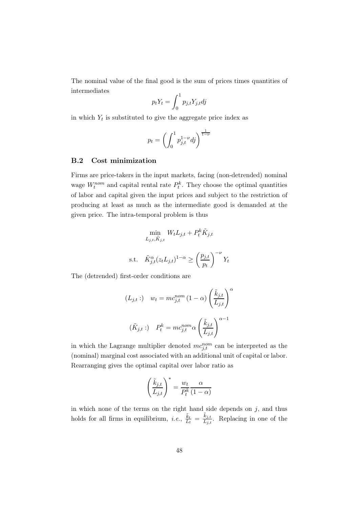The nominal value of the final good is the sum of prices times quantities of intermediates

$$
p_t Y_t = \int_0^1 p_{j,t} Y_{j,t} dj
$$

in which  $Y_t$  is substituted to give the aggregate price index as

$$
p_t = \left(\int_0^1 p_{j,t}^{1-\nu} dj\right)^{\frac{1}{1-\nu}}
$$

### B.2 Cost minimization

Firms are price-takers in the input markets, facing (non-detrended) nominal wage  $W_t^{nom}$  and capital rental rate  $P_t^k$ . They choose the optimal quantities of labor and capital given the input prices and subject to the restriction of producing at least as much as the intermediate good is demanded at the given price. The intra-temporal problem is thus

$$
\min_{L_{j,t}, \tilde{K}_{j,t}} W_t L_{j,t} + P_t^k \tilde{K}_{j,t}
$$
  
s.t. 
$$
\tilde{K}_{j,t}^{\alpha}(z_t L_{j,t})^{1-\alpha} \ge \left(\frac{p_{j,t}}{p_t}\right)^{-\nu} Y_t
$$

The (detrended) first-order conditions are

$$
(L_{j,t}:) \t w_t = mc_{j,t}^{nom} (1 - \alpha) \left(\frac{\tilde{k}_{j,t}}{L_{j,t}}\right)^{\alpha}
$$

$$
(\tilde{K}_{j,t}:) \t P_t^k = mc_{j,t}^{nom} \alpha \left(\frac{\tilde{k}_{j,t}}{L_{j,t}}\right)^{\alpha - 1}
$$

in which the Lagrange multiplier denoted  $mc_{j,t}^{nom}$  can be interpreted as the (nominal) marginal cost associated with an additional unit of capital or labor. Rearranging gives the optimal capital over labor ratio as

$$
\left(\frac{\tilde{k}_{j,t}}{L_{j,t}}\right)^* = \frac{w_t}{P_t^k} \frac{\alpha}{(1-\alpha)}
$$

in which none of the terms on the right hand side depends on  $j$ , and thus holds for all firms in equilibrium, *i.e.*,  $\frac{\tilde{k}_t}{\tilde{k}_t}$  $\frac{\tilde{k}_t}{L_t} = \frac{\tilde{k}_{j,t}}{L_{j,t}}$ . Replacing in one of the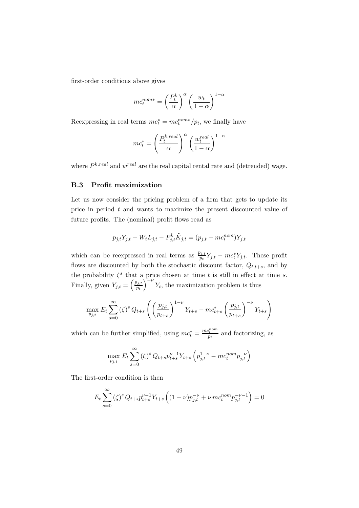first-order conditions above gives

$$
mc_t^{nom*} = \left(\frac{P_t^k}{\alpha}\right)^{\alpha} \left(\frac{w_t}{1-\alpha}\right)^{1-\alpha}
$$

Reexpressing in real terms  $mc_t^* = mc_t^{nom*}/p_t$ , we finally have

$$
mc_t^* = \left(\frac{P_t^{k,real}}{\alpha}\right)^{\alpha} \left(\frac{w_t^{real}}{1-\alpha}\right)^{1-\alpha}
$$

where  $P^{k,real}$  and  $w^{real}$  are the real capital rental rate and (detrended) wage.

### B.3 Profit maximization

Let us now consider the pricing problem of a firm that gets to update its price in period t and wants to maximize the present discounted value of future profits. The (nominal) profit flows read as

$$
p_{j,t}Y_{j,t} - W_t L_{j,t} - P_{j,t}^k \tilde{K}_{j,t} = (p_{j,t} - mc_t^{nom})Y_{j,t}
$$

which can be reexpressed in real terms as  $\frac{p_{j,t}}{p_t} Y_{j,t} - mc_t^* Y_{j,t}$ . These profit flows are discounted by both the stochastic discount factor,  $Q_{t,t+s}$ , and by the probability  $\zeta^s$  that a price chosen at time t is still in effect at time s. Finally, given  $Y_{j,t} = \left(\frac{p_{j,t}}{p_t}\right)$  $\overline{p_t}$  $\int_{0}^{\infty} Y_t$ , the maximization problem is thus

$$
\max_{p_{j,t}} E_t \sum_{s=0}^{\infty} (\zeta)^s Q_{t+s} \left( \left( \frac{p_{j,t}}{p_{t+s}} \right)^{1-\nu} Y_{t+s} - mc_{t+s}^* \left( \frac{p_{j,t}}{p_{t+s}} \right)^{-\nu} Y_{t+s} \right)
$$

which can be further simplified, using  $mc_t^* = \frac{mc_t^{nom}}{pt}$  and factorizing, as

$$
\max_{p_{j,t}} E_t \sum_{s=0}^{\infty} (\zeta)^s Q_{t+s} p_{t+s}^{\nu-1} Y_{t+s} \left( p_{j,t}^{1-\nu} - m c_t^{nom} p_{j,t}^{-\nu} \right)
$$

The first-order condition is then

$$
E_t \sum_{s=0}^{\infty} (\zeta)^s Q_{t+s} p_{t+s}^{\nu-1} Y_{t+s} \left( (1-\nu) p_{j,t}^{-\nu} + \nu m c_t^{nom} p_{j,t}^{-\nu-1} \right) = 0
$$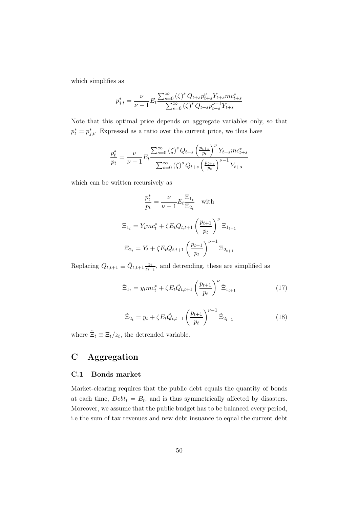which simplifies as

$$
p_{j,t}^{*} = \frac{\nu}{\nu - 1} E_t \frac{\sum_{s=0}^{\infty} (\zeta)^s Q_{t+s} p_{t+s}^{\nu} Y_{t+s} m c_{t+s}^{*}}{\sum_{s=0}^{\infty} (\zeta)^s Q_{t+s} p_{t+s}^{\nu-1} Y_{t+s}}
$$

Note that this optimal price depends on aggregate variables only, so that  $p_t^* = p_{j,t}^*$ . Expressed as a ratio over the current price, we thus have

$$
\frac{p_t^*}{p_t} = \frac{\nu}{\nu - 1} E_t \frac{\sum_{s=0}^{\infty} (\zeta)^s Q_{t+s} \left(\frac{p_{t+s}}{p_t}\right)^{\nu} Y_{t+s} m c_{t+s}^*}{\sum_{s=0}^{\infty} (\zeta)^s Q_{t+s} \left(\frac{p_{t+s}}{p_t}\right)^{\nu-1} Y_{t+s}}
$$

which can be written recursively as

$$
\frac{p_t^*}{p_t} = \frac{\nu}{\nu - 1} E_t \frac{\Xi_{1_t}}{\Xi_{2_t}} \quad \text{with}
$$

$$
\Xi_{1_t} = Y_t m c_t^* + \zeta E_t Q_{t, t+1} \left(\frac{p_{t+1}}{p_t}\right)^{\nu} \Xi_{1_{t+1}}
$$

$$
\Xi_{2_t} = Y_t + \zeta E_t Q_{t, t+1} \left(\frac{p_{t+1}}{p_t}\right)^{\nu-1} \Xi_{2_{t+1}}
$$

Replacing  $Q_{t,t+1} \equiv \tilde{Q}_{t,t+1} \frac{z_t}{z_{t+1}}$  $\frac{z_t}{z_{t+1}}$ , and detrending, these are simplified as

$$
\tilde{\Xi}_{1_t} = y_t m c_t^* + \zeta E_t \tilde{Q}_{t,t+1} \left(\frac{p_{t+1}}{p_t}\right)^{\nu} \tilde{\Xi}_{1_{t+1}} \tag{17}
$$

$$
\tilde{\Xi}_{2t} = y_t + \zeta E_t \tilde{Q}_{t,t+1} \left(\frac{p_{t+1}}{p_t}\right)^{\nu-1} \tilde{\Xi}_{2_{t+1}}
$$
\n(18)

where  $\tilde{\Xi}_t \equiv \Xi_t/z_t$ , the detrended variable.

# C Aggregation

## C.1 Bonds market

Market-clearing requires that the public debt equals the quantity of bonds at each time,  $Debt_t = B_t$ , and is thus symmetrically affected by disasters. Moreover, we assume that the public budget has to be balanced every period, i.e the sum of tax revenues and new debt insuance to equal the current debt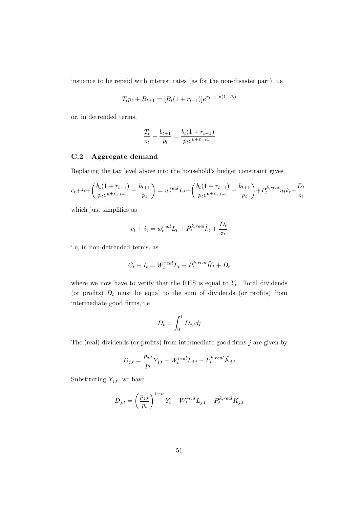insuance to be repaid with interest rates (as for the non-disaster part), i.e

$$
T_t p_t + B_{t+1} = [B_t(1 + r_{t-1})]e^{x_{t+1}\ln(1-\Delta)}
$$

or, in detrended terms,

$$
\frac{T_t}{z_t} + \frac{b_{t+1}}{p_t} = \frac{b_t(1 + r_{t-1})}{p_t e^{\mu + \varepsilon_{z,t+1}}}
$$

# C.2 Aggregate demand

Replacing the tax level above into the household's budget constraint gives

$$
c_t + i_t + \left(\frac{b_t(1 + r_{t-1})}{p_t e^{\mu + \varepsilon_{z,t+1}}} - \frac{b_{t+1}}{p_t}\right) = w_t^{real} L_t + \left(\frac{b_t(1 + r_{t-1})}{p_t e^{\mu + \varepsilon_{z,t+1}}} - \frac{b_{t+1}}{p_t}\right) + P_t^{k,real} u_t k_t + \frac{D_t}{z_t}
$$

which just simplifies as

$$
c_t + i_t = w_t^{real} L_t + P_t^{k,real} \tilde{k}_t + \frac{D_t}{z_t}
$$

i.e, in non-detrended terms, as

$$
C_t + I_t = W_t^{real} L_t + P_t^{k,real} \tilde{K}_t + D_t
$$

where we now have to verify that the RHS is equal to  $Y_t$ . Total dividends (or profits)  $D_t$  must be equal to the sum of dividends (or profits) from intermediate good firms, i.e

$$
D_t = \int_0^1 D_{j,t} dj
$$

The (real) dividends (or profits) from intermediate good firms  $j$  are given by

$$
D_{j,t} = \frac{p_{j,t}}{p_t} Y_{j,t} - W_t^{real} L_{j,t} - P_t^{k,real} \tilde{K}_{j,t}
$$

Substituting  $Y_{j,t}$ , we have

$$
D_{j,t} = \left(\frac{p_{j,t}}{p_t}\right)^{1-\nu} Y_t - W_t^{real} L_{j,t} - P_t^{k,real} \tilde{K}_{j,t}
$$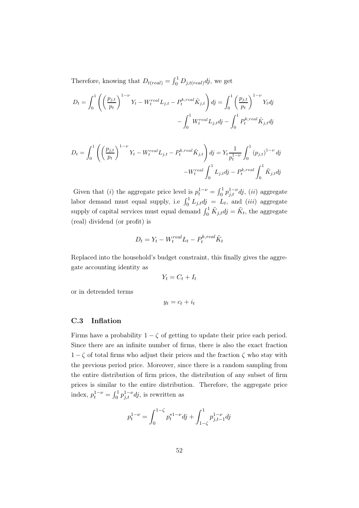Therefore, knowing that  $D_{t(\text{real})} = \int_0^1 D_{j,t(\text{real})} dj$ , we get

$$
D_{t} = \int_{0}^{1} \left( \left( \frac{p_{j,t}}{p_t} \right)^{1-\nu} Y_t - W_t^{real} L_{j,t} - P_t^{k,real} \tilde{K}_{j,t} \right) dj = \int_{0}^{1} \left( \frac{p_{j,t}}{p_t} \right)^{1-\nu} Y_t dj
$$

$$
- \int_{0}^{1} W_t^{real} L_{j,t} dj - \int_{0}^{1} P_t^{k,real} \tilde{K}_{j,t} dj
$$

$$
D_{t} = \int_{0}^{1} \left( \left( \frac{p_{j,t}}{p_t} \right)^{1-\nu} Y_t - W_t^{real} L_{j,t} - P_t^{k,real} \tilde{K}_{j,t} \right) dj = Y_t \frac{1}{p_t^{1-\nu}} \int_{0}^{1} (p_{j,t})^{1-\nu} dj
$$

$$
-W_t^{real} \int_{0}^{1} L_{j,t} dj - P_t^{k,real} \int_{0}^{1} \tilde{K}_{j,t} dj
$$

Given that (*i*) the aggregate price level is  $p_t^{1-\nu} = \int_0^1 p_{j,t}^{1-\nu} dj$ , (*ii*) aggregate labor demand must equal supply, i.e  $\int_0^1 L_{j,t} dy = L_t$ , and *(iii)* aggregate supply of capital services must equal demand  $\int_0^1 \tilde{K}_{j,t} dj = \tilde{K}_t$ , the aggregate (real) dividend (or profit) is

$$
D_t = Y_t - W_t^{real} L_t - P_t^{k,real} \tilde{K}_t
$$

Replaced into the household's budget constraint, this finally gives the aggregate accounting identity as

$$
Y_t = C_t + I_t
$$

or in detrended terms

 $y_t = c_t + i_t$ 

### C.3 Inflation

Firms have a probability  $1 - \zeta$  of getting to update their price each period. Since there are an infinite number of firms, there is also the exact fraction  $1 - \zeta$  of total firms who adjust their prices and the fraction  $\zeta$  who stay with the previous period price. Moreover, since there is a random sampling from the entire distribution of firm prices, the distribution of any subset of firm prices is similar to the entire distribution. Therefore, the aggregate price index,  $p_t^{1-\nu} = \int_0^1 p_{j,t}^{1-\nu} dj$ , is rewritten as

$$
p_t^{1-\nu} = \int_0^{1-\zeta} p_t^{*1-\nu} d\mathbf{j} + \int_{1-\zeta}^1 p_{j,t-1}^{1-\nu} d\mathbf{j}
$$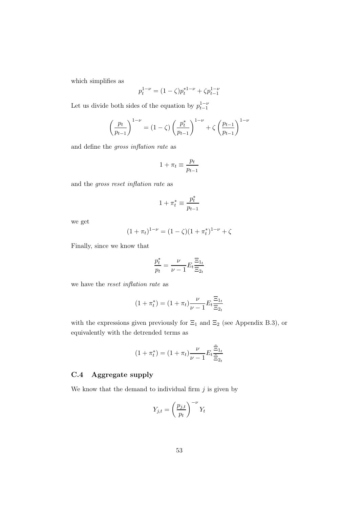which simplifies as

$$
p_t^{1-\nu} = (1 - \zeta)p_t^{*1-\nu} + \zeta p_{t-1}^{1-\nu}
$$

Let us divide both sides of the equation by  $p_{t-1}^{1-\nu}$ 

$$
\left(\frac{p_t}{p_{t-1}}\right)^{1-\nu} = (1-\zeta)\left(\frac{p_t^*}{p_{t-1}}\right)^{1-\nu} + \zeta\left(\frac{p_{t-1}}{p_{t-1}}\right)^{1-\nu}
$$

and define the *gross inflation rate* as

$$
1 + \pi_t \equiv \frac{p_t}{p_{t-1}}
$$

and the *gross reset inflation rate* as

$$
1+\pi^*_t\equiv\frac{p^*_t}{p_{t-1}}
$$

we get

$$
(1 + \pi_t)^{1 - \nu} = (1 - \zeta)(1 + \pi_t^*)^{1 - \nu} + \zeta
$$

Finally, since we know that

$$
\frac{p_t^*}{p_t} = \frac{\nu}{\nu-1} E_t \frac{\Xi_{1_t}}{\Xi_{2_t}}
$$

we have the *reset inflation rate* as

$$
(1 + \pi_t^*) = (1 + \pi_t) \frac{\nu}{\nu - 1} E_t \frac{\Xi_{1t}}{\Xi_{2t}}
$$

with the expressions given previously for  $\Xi_1$  and  $\Xi_2$  (see Appendix B.3), or equivalently with the detrended terms as

$$
(1 + \pi_t^*) = (1 + \pi_t) \frac{\nu}{\nu - 1} E_t \frac{\tilde{\Xi}_{1_t}}{\tilde{\Xi}_{2_t}}
$$

## C.4 Aggregate supply

We know that the demand to individual firm  $j$  is given by

$$
Y_{j,t} = \left(\frac{p_{j,t}}{p_t}\right)^{-\nu} Y_t
$$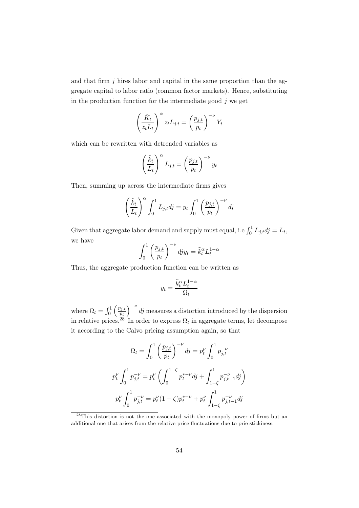and that firm  $j$  hires labor and capital in the same proportion than the aggregate capital to labor ratio (common factor markets). Hence, substituting in the production function for the intermediate good  $j$  we get

$$
\left(\frac{\tilde{K}_t}{z_t L_t}\right)^{\alpha} z_t L_{j,t} = \left(\frac{p_{j,t}}{p_t}\right)^{-\nu} Y_t
$$

which can be rewritten with detrended variables as

$$
\left(\frac{\tilde{k}_t}{L_t}\right)^{\alpha} L_{j,t} = \left(\frac{p_{j,t}}{p_t}\right)^{-\nu} y_t
$$

Then, summing up across the intermediate firms gives

$$
\left(\frac{\tilde{k}_t}{L_t}\right)^{\alpha} \int_0^1 L_{j,t} dj = y_t \int_0^1 \left(\frac{p_{j,t}}{p_t}\right)^{-\nu} dj
$$

Given that aggregate labor demand and supply must equal, i.e  $\int_0^1 L_{j,t} dy = L_t$ , we have

$$
\int_0^1 \left(\frac{p_{j,t}}{p_t}\right)^{-\nu} dy_{jt} = \tilde{k}_t^{\alpha} L_t^{1-\alpha}
$$

Thus, the aggregate production function can be written as

$$
y_t = \frac{\tilde{k}_t^{\alpha} L_t^{1-\alpha}}{\Omega_t}
$$

where  $\Omega_t = \int_0^1$  $\int p_{j,t}$  $\overline{p_t}$  $\int_{0}^{-\nu}$  dj measures a distortion introduced by the dispersion in relative prices.<sup>28</sup> In order to express  $\Omega_t$  in aggregate terms, let decompose it according to the Calvo pricing assumption again, so that

$$
\Omega_t = \int_0^1 \left(\frac{p_{j,t}}{p_t}\right)^{-\nu} dj = p_t^{\nu} \int_0^1 p_{j,t}^{-\nu}
$$

$$
p_t^{\nu} \int_0^1 p_{j,t}^{-\nu} = p_t^{\nu} \left(\int_0^{1-\zeta} p_t^{*- \nu} dj + \int_{1-\zeta}^1 p_{j,t-1}^{-\nu} dj\right)
$$

$$
p_t^{\nu} \int_0^1 p_{j,t}^{-\nu} = p_t^{\nu} (1-\zeta) p_t^{*- \nu} + p_t^{\nu} \int_{1-\zeta}^1 p_{j,t-1}^{-\nu} dj
$$

<sup>&</sup>lt;sup>28</sup>This distortion is not the one associated with the monopoly power of firms but an additional one that arises from the relative price fluctuations due to prie stickiness.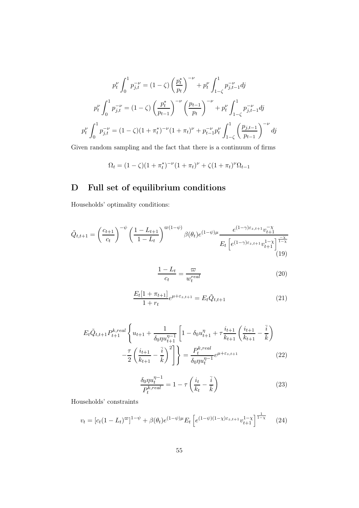$$
p_t^{\nu} \int_0^1 p_{j,t}^{-\nu} = (1 - \zeta) \left(\frac{p_t^*}{p_t}\right)^{-\nu} + p_t^{\nu} \int_{1 - \zeta}^1 p_{j,t-1}^{-\nu} dy
$$

$$
p_t^{\nu} \int_0^1 p_{j,t}^{-\nu} = (1 - \zeta) \left(\frac{p_t^*}{p_{t-1}}\right)^{-\nu} \left(\frac{p_{t-1}}{p_t}\right)^{-\nu} + p_t^{\nu} \int_{1 - \zeta}^1 p_{j,t-1}^{-\nu} dy
$$

$$
p_t^{\nu} \int_0^1 p_{j,t}^{-\nu} = (1 - \zeta)(1 + \pi_t^*)^{-\nu} (1 + \pi_t)^{\nu} + p_{t-1}^{-\nu} p_t^{\nu} \int_{1 - \zeta}^1 \left(\frac{p_{j,t-1}}{p_{t-1}}\right)^{-\nu} dy
$$

Given random sampling and the fact that there is a continuum of firms

$$
\Omega_t = (1 - \zeta)(1 + \pi_t^*)^{-\nu}(1 + \pi_t)^{\nu} + \zeta(1 + \pi_t)^{\nu}\Omega_{t-1}
$$

# D Full set of equilibrium conditions

Households' optimality conditions:

$$
\tilde{Q}_{t,t+1} = \left(\frac{c_{t+1}}{c_t}\right)^{-\psi} \left(\frac{1 - L_{t+1}}{1 - L_t}\right)^{\varpi(1 - \psi)} \beta(\theta_t) e^{(1 - \psi)\mu} \frac{e^{(1 - \gamma)\varepsilon_{z,t+1}} v_{t+1}^{-\chi}}{E_t \left[e^{(1 - \gamma)\varepsilon_{z,t+1}} v_{t+1}^{1 - \chi}\right]^{\frac{-\chi}{1 - \chi}}}
$$
\n(19)

$$
\frac{1 - L_t}{c_t} = \frac{\varpi}{w_t^{real}}\tag{20}
$$

$$
\frac{E_t[1 + \pi_{t+1}]}{1 + r_t} e^{\mu + \varepsilon_{z,t+1}} = E_t \tilde{Q}_{t,t+1}
$$
\n(21)

$$
E_t \tilde{Q}_{t,t+1} P_{t+1}^{k,real} \left\{ u_{t+1} + \frac{1}{\delta_0 \eta u_{t+1}^{\eta - 1}} \left[ 1 - \delta_0 u_{t+1}^{\eta} + \tau \frac{i_{t+1}}{k_{t+1}} \left( \frac{i_{t+1}}{k_{t+1}} - \frac{\bar{i}}{k} \right) - \frac{\tau}{2} \left( \frac{i_{t+1}}{k_{t+1}} - \frac{\bar{i}}{k} \right)^2 \right] \right\} = \frac{P_t^{k,real}}{\delta_0 \eta u_t^{\eta - 1}} e^{\mu + \varepsilon_{z,t+1}}
$$
(22)

$$
\frac{\delta_0 \eta u_t^{\eta - 1}}{P_t^{k,real}} = 1 - \tau \left(\frac{i_t}{k_t} - \frac{\bar{i}}{\bar{k}}\right)
$$
\n(23)

Households' constraints

$$
v_t = [c_t(1 - L_t)^{\varpi}]^{1 - \psi} + \beta(\theta_t)e^{(1 - \psi)\mu} E_t \left[e^{(1 - \psi)(1 - \chi)\varepsilon_{z,t+1}}v_{t+1}^{1 - \chi}\right]^{\frac{1}{1 - \chi}} \tag{24}
$$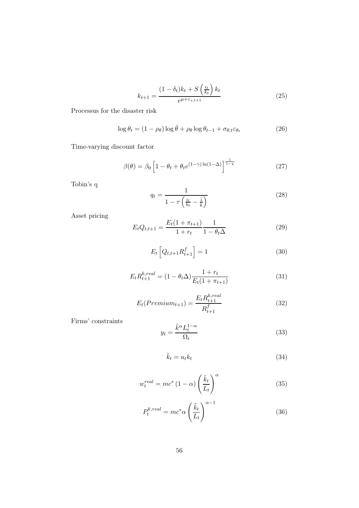$$
k_{t+1} = \frac{(1 - \delta_t)k_t + S\left(\frac{i_t}{k_t}\right)k_t}{e^{\mu + \varepsilon_{z,t+1}}}
$$
(25)

Processus for the disaster risk

$$
\log \theta_t = (1 - \rho_\theta) \log \bar{\theta} + \rho_\theta \log \theta_{t-1} + \sigma_{\theta, t} \varepsilon_{\theta_t}
$$
 (26)

Time-varying discount factor

$$
\beta(\theta) = \beta_0 \left[ 1 - \theta_t + \theta_t e^{(1-\gamma)\ln(1-\Delta)} \right]^{\frac{1}{1-\chi}} \tag{27}
$$

Tobin's q

$$
q_t = \frac{1}{1 - \tau \left(\frac{i_t}{k_t} - \frac{\bar{i}}{k}\right)}\tag{28}
$$

Asset pricing

$$
E_t Q_{t,t+1} = \frac{E_t (1 + \pi_{t+1})}{1 + r_t} \frac{1}{1 - \theta_t \Delta} \tag{29}
$$

$$
E_t\left[Q_{t,t+1}R_{t+1}^f\right] = 1\tag{30}
$$

$$
E_t R_{t+1}^{k,real} = (1 - \theta_t \Delta) \frac{1 + r_t}{E_t (1 + \pi_{t+1})}
$$
(31)

$$
E_t(Premium_{t+1}) = \frac{E_t R_{t+1}^{k,real}}{R_{t+1}^f}
$$
\n(32)

Firms' constraints

$$
y_t = \frac{\tilde{k}^{\alpha} L_t^{1-\alpha}}{\Omega_t} \tag{33}
$$

$$
\tilde{k}_t = u_t k_t \tag{34}
$$

$$
w_t^{real} = mc^* (1 - \alpha) \left(\frac{\tilde{k}_t}{L_t}\right)^{\alpha} \tag{35}
$$

$$
P_t^{k,real} = mc^* \alpha \left(\frac{\tilde{k}_t}{L_t}\right)^{\alpha - 1} \tag{36}
$$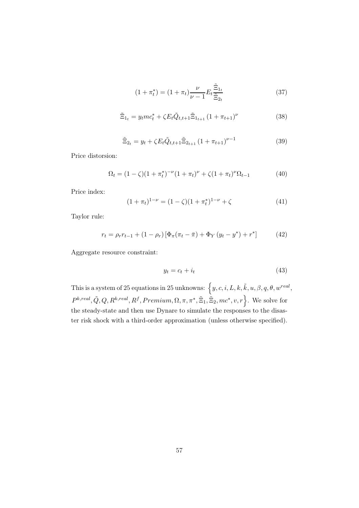$$
(1 + \pi_t^*) = (1 + \pi_t) \frac{\nu}{\nu - 1} E_t \frac{\tilde{\Xi}_{1t}}{\tilde{\Xi}_{2t}}
$$
 (37)

$$
\tilde{\Xi}_{1_t} = y_t m c_t^* + \zeta E_t \tilde{Q}_{t,t+1} \tilde{\Xi}_{1_{t+1}} (1 + \pi_{t+1})^\nu
$$
\n(38)

$$
\tilde{\Xi}_{2t} = y_t + \zeta E_t \tilde{Q}_{t,t+1} \tilde{\Xi}_{2t+1} \left( 1 + \pi_{t+1} \right)^{\nu-1} \tag{39}
$$

Price distorsion:

$$
\Omega_t = (1 - \zeta)(1 + \pi_t^*)^{-\nu}(1 + \pi_t)^{\nu} + \zeta(1 + \pi_t)^{\nu}\Omega_{t-1}
$$
\n(40)

Price index:

$$
(1 + \pi_t)^{1-\nu} = (1 - \zeta)(1 + \pi_t^*)^{1-\nu} + \zeta \tag{41}
$$

Taylor rule:

$$
r_{t} = \rho_{r} r_{t-1} + (1 - \rho_{r}) \left[ \Phi_{\pi} (\pi_{t} - \bar{\pi}) + \Phi_{Y} (y_{t} - y^{*}) + r^{*} \right]
$$
(42)

Aggregate resource constraint:

$$
y_t = c_t + i_t \tag{43}
$$

This is a system of 25 equations in 25 unknowns:  $\big\{y, c, i, L, k, \tilde{k}, u, \beta, q, \theta, w^{real},\big\}$  $P^{k,real}, \tilde{Q}, Q, R^{k,real}, R^f, Premium, \Omega, \pi, \pi^*, \tilde{\Xi}_1, \tilde{\Xi}_2, mc^*, v, r$ . We solve for the steady-state and then use Dynare to simulate the responses to the disaster risk shock with a third-order approximation (unless otherwise specified).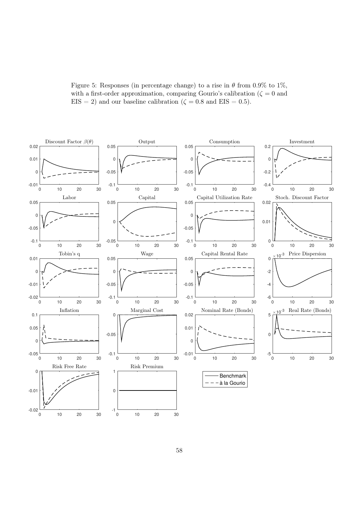Figure 5: Responses (in percentage change) to a rise in  $\theta$  from 0.9% to 1%, with a first-order approximation, comparing Gourio's calibration ( $\zeta = 0$  and  $EIS = 2$ ) and our baseline calibration ( $\zeta = 0.8$  and  $EIS = 0.5$ ).

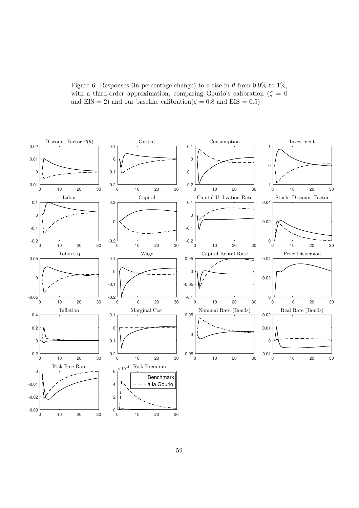Figure 6: Responses (in percentage change) to a rise in  $\theta$  from 0.9% to 1%, with a third-order approximation, comparing Gourio's calibration ( $\zeta = 0$ and EIS = 2) and our baseline calibration( $\zeta = 0.8$  and EIS = 0.5).

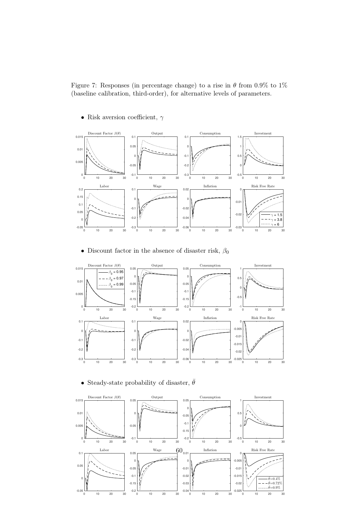Figure 7: Responses (in percentage change) to a rise in  $\theta$  from 0.9% to 1% (baseline calibration, third-order), for alternative levels of parameters.

• Risk aversion coefficient,  $\gamma$ 



• Discount factor in the absence of disaster risk,  $\beta_0$ 



• Steady-state probability of disaster,  $\bar{\theta}$ 

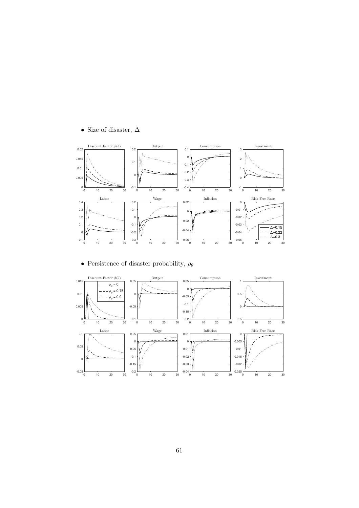# $\bullet\,$  Size of disaster,  $\Delta$



# • Persistence of disaster probability,  $\rho_{\theta}$